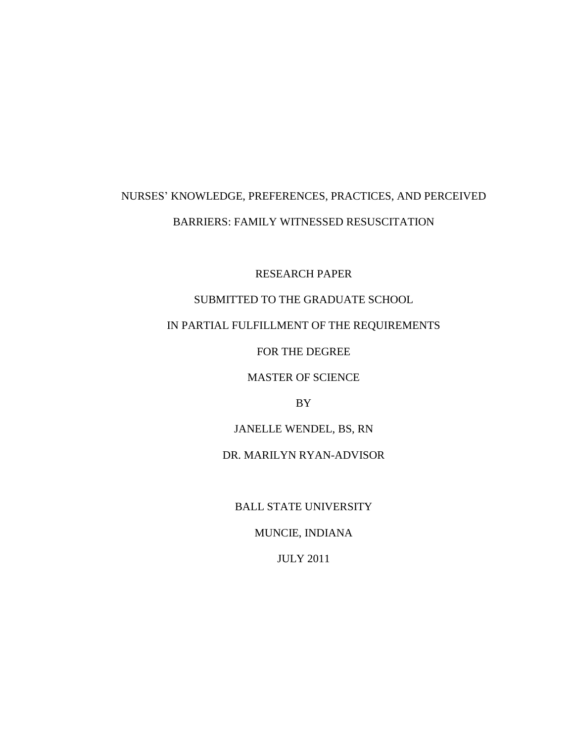# NURSES' KNOWLEDGE, PREFERENCES, PRACTICES, AND PERCEIVED BARRIERS: FAMILY WITNESSED RESUSCITATION

RESEARCH PAPER

# SUBMITTED TO THE GRADUATE SCHOOL

# IN PARTIAL FULFILLMENT OF THE REQUIREMENTS

FOR THE DEGREE

MASTER OF SCIENCE

BY

JANELLE WENDEL, BS, RN

DR. MARILYN RYAN-ADVISOR

BALL STATE UNIVERSITY

MUNCIE, INDIANA

JULY 2011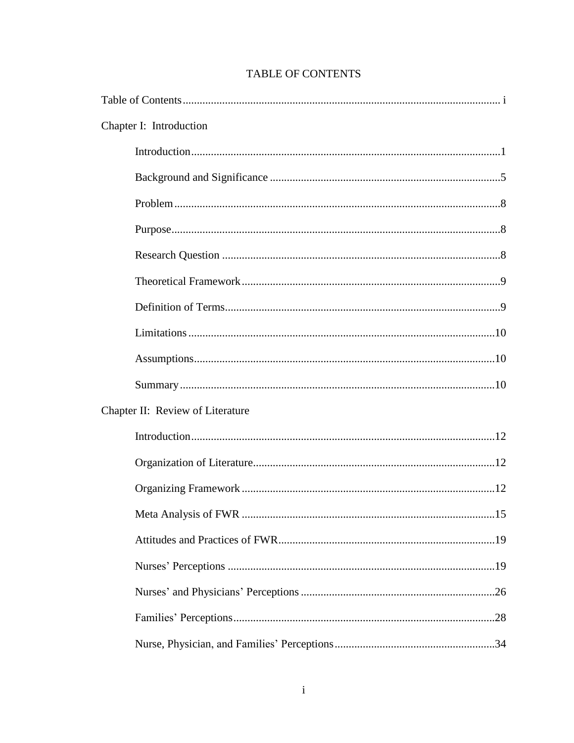| Chapter I: Introduction          |  |
|----------------------------------|--|
|                                  |  |
|                                  |  |
|                                  |  |
|                                  |  |
|                                  |  |
|                                  |  |
|                                  |  |
|                                  |  |
|                                  |  |
|                                  |  |
| Chapter II: Review of Literature |  |
|                                  |  |
|                                  |  |
|                                  |  |
|                                  |  |
|                                  |  |
|                                  |  |
|                                  |  |
|                                  |  |
|                                  |  |

# **TABLE OF CONTENTS**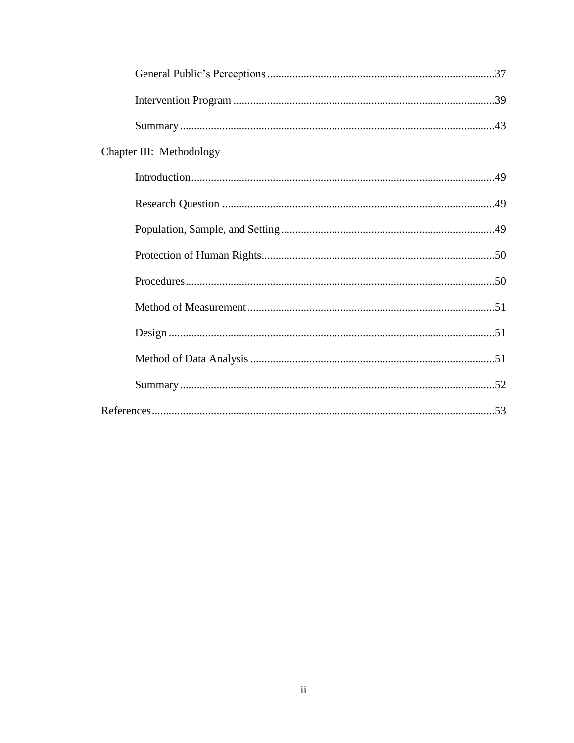| Chapter III: Methodology |  |
|--------------------------|--|
|                          |  |
|                          |  |
|                          |  |
|                          |  |
|                          |  |
|                          |  |
|                          |  |
|                          |  |
|                          |  |
|                          |  |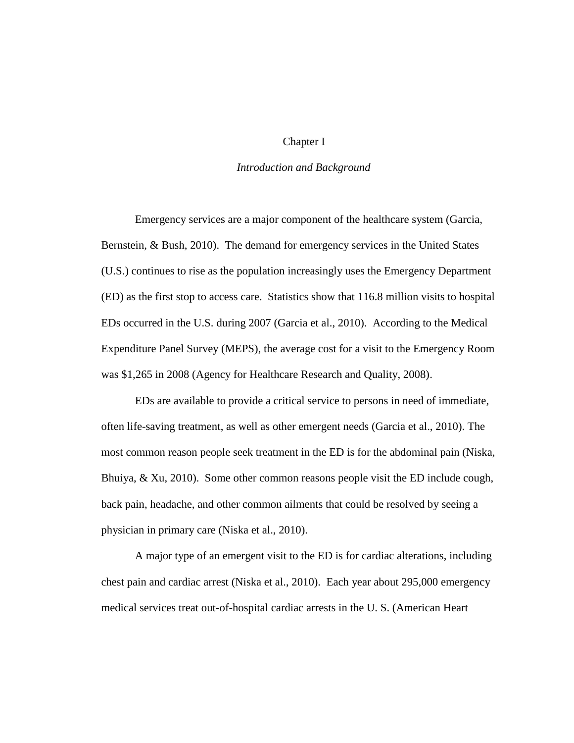# Chapter I

# *Introduction and Background*

Emergency services are a major component of the healthcare system (Garcia, Bernstein, & Bush, 2010). The demand for emergency services in the United States (U.S.) continues to rise as the population increasingly uses the Emergency Department (ED) as the first stop to access care. Statistics show that 116.8 million visits to hospital EDs occurred in the U.S. during 2007 (Garcia et al., 2010). According to the Medical Expenditure Panel Survey (MEPS), the average cost for a visit to the Emergency Room was \$1,265 in 2008 (Agency for Healthcare Research and Quality, 2008).

EDs are available to provide a critical service to persons in need of immediate, often life-saving treatment, as well as other emergent needs (Garcia et al., 2010). The most common reason people seek treatment in the ED is for the abdominal pain (Niska, Bhuiya, & Xu, 2010). Some other common reasons people visit the ED include cough, back pain, headache, and other common ailments that could be resolved by seeing a physician in primary care (Niska et al., 2010).

A major type of an emergent visit to the ED is for cardiac alterations, including chest pain and cardiac arrest (Niska et al., 2010). Each year about 295,000 emergency medical services treat out-of-hospital cardiac arrests in the U. S. (American Heart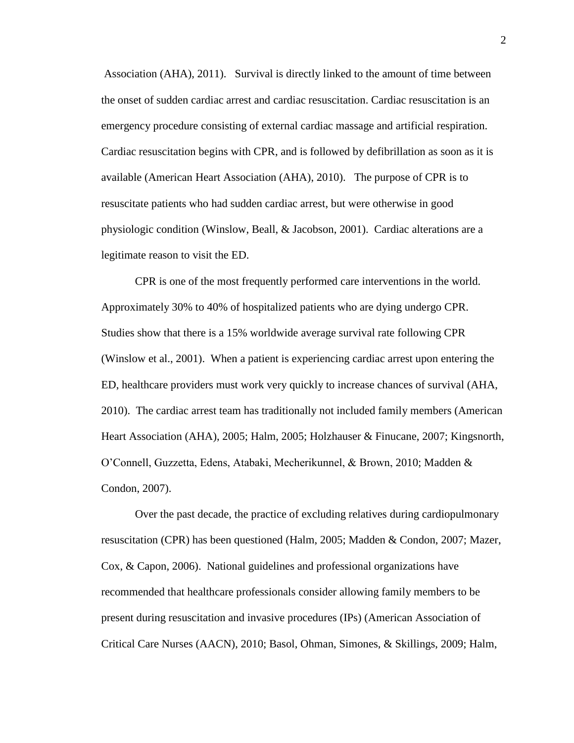Association (AHA), 2011). Survival is directly linked to the amount of time between the onset of sudden cardiac arrest and cardiac resuscitation. Cardiac resuscitation is an emergency procedure consisting of external cardiac massage and artificial respiration. Cardiac resuscitation begins with CPR, and is followed by defibrillation as soon as it is available (American Heart Association (AHA), 2010). The purpose of CPR is to resuscitate patients who had sudden cardiac arrest, but were otherwise in good physiologic condition (Winslow, Beall, & Jacobson, 2001). Cardiac alterations are a legitimate reason to visit the ED.

CPR is one of the most frequently performed care interventions in the world. Approximately 30% to 40% of hospitalized patients who are dying undergo CPR. Studies show that there is a 15% worldwide average survival rate following CPR (Winslow et al., 2001). When a patient is experiencing cardiac arrest upon entering the ED, healthcare providers must work very quickly to increase chances of survival (AHA, 2010). The cardiac arrest team has traditionally not included family members (American Heart Association (AHA), 2005; Halm, 2005; Holzhauser & Finucane, 2007; Kingsnorth, O'Connell, Guzzetta, Edens, Atabaki, Mecherikunnel, & Brown, 2010; Madden & Condon, 2007).

Over the past decade, the practice of excluding relatives during cardiopulmonary resuscitation (CPR) has been questioned (Halm, 2005; Madden & Condon, 2007; Mazer, Cox, & Capon, 2006). National guidelines and professional organizations have recommended that healthcare professionals consider allowing family members to be present during resuscitation and invasive procedures (IPs) (American Association of Critical Care Nurses (AACN), 2010; Basol, Ohman, Simones, & Skillings, 2009; Halm,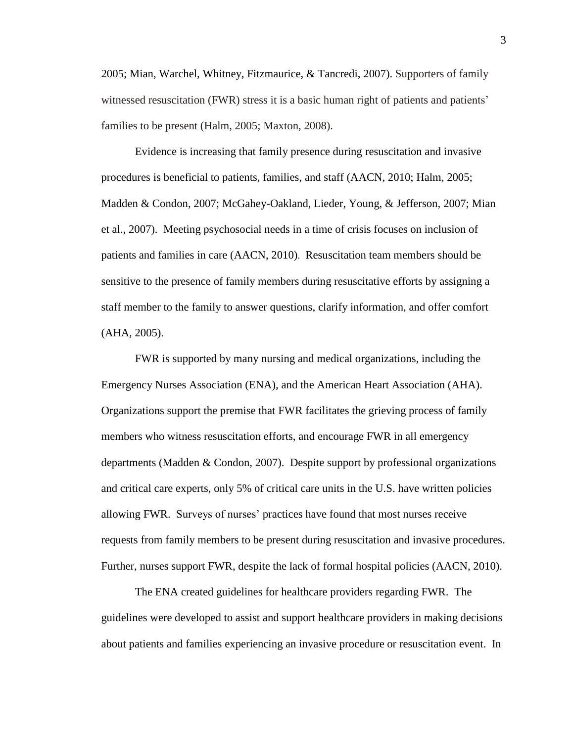2005; Mian, Warchel, Whitney, Fitzmaurice, & Tancredi, 2007). Supporters of family witnessed resuscitation (FWR) stress it is a basic human right of patients and patients' families to be present (Halm, 2005; Maxton, 2008).

Evidence is increasing that family presence during resuscitation and invasive procedures is beneficial to patients, families, and staff (AACN, 2010; Halm, 2005; Madden & Condon, 2007; McGahey-Oakland, Lieder, Young, & Jefferson, 2007; Mian et al., 2007). Meeting psychosocial needs in a time of crisis focuses on inclusion of patients and families in care (AACN, 2010). Resuscitation team members should be sensitive to the presence of family members during resuscitative efforts by assigning a staff member to the family to answer questions, clarify information, and offer comfort (AHA, 2005).

FWR is supported by many nursing and medical organizations, including the Emergency Nurses Association (ENA), and the American Heart Association (AHA). Organizations support the premise that FWR facilitates the grieving process of family members who witness resuscitation efforts, and encourage FWR in all emergency departments (Madden & Condon, 2007). Despite support by professional organizations and critical care experts, only 5% of critical care units in the U.S. have written policies allowing FWR. Surveys of nurses' practices have found that most nurses receive requests from family members to be present during resuscitation and invasive procedures. Further, nurses support FWR, despite the lack of formal hospital policies (AACN, 2010).

The ENA created guidelines for healthcare providers regarding FWR. The guidelines were developed to assist and support healthcare providers in making decisions about patients and families experiencing an invasive procedure or resuscitation event. In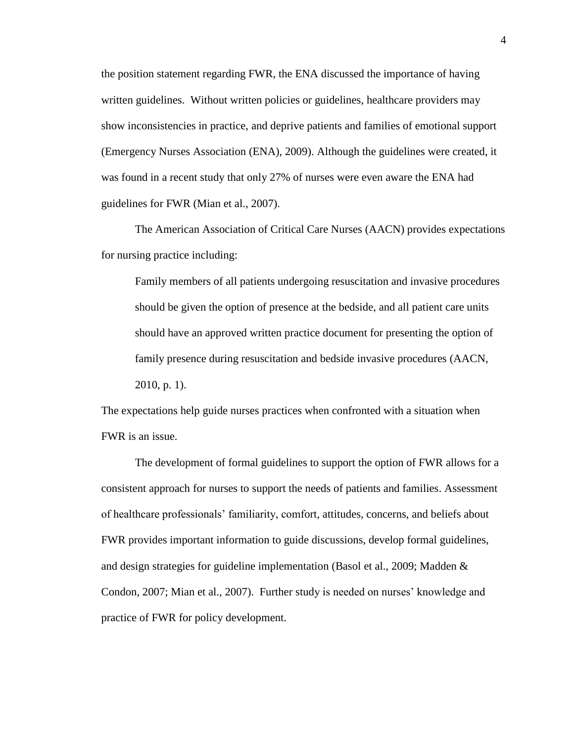the position statement regarding FWR, the ENA discussed the importance of having written guidelines. Without written policies or guidelines, healthcare providers may show inconsistencies in practice, and deprive patients and families of emotional support (Emergency Nurses Association (ENA), 2009). Although the guidelines were created, it was found in a recent study that only 27% of nurses were even aware the ENA had guidelines for FWR (Mian et al., 2007).

The American Association of Critical Care Nurses (AACN) provides expectations for nursing practice including:

Family members of all patients undergoing resuscitation and invasive procedures should be given the option of presence at the bedside, and all patient care units should have an approved written practice document for presenting the option of family presence during resuscitation and bedside invasive procedures (AACN, 2010, p. 1).

The expectations help guide nurses practices when confronted with a situation when FWR is an issue.

The development of formal guidelines to support the option of FWR allows for a consistent approach for nurses to support the needs of patients and families. Assessment of healthcare professionals' familiarity, comfort, attitudes, concerns, and beliefs about FWR provides important information to guide discussions, develop formal guidelines, and design strategies for guideline implementation (Basol et al., 2009; Madden & Condon, 2007; Mian et al., 2007). Further study is needed on nurses' knowledge and practice of FWR for policy development.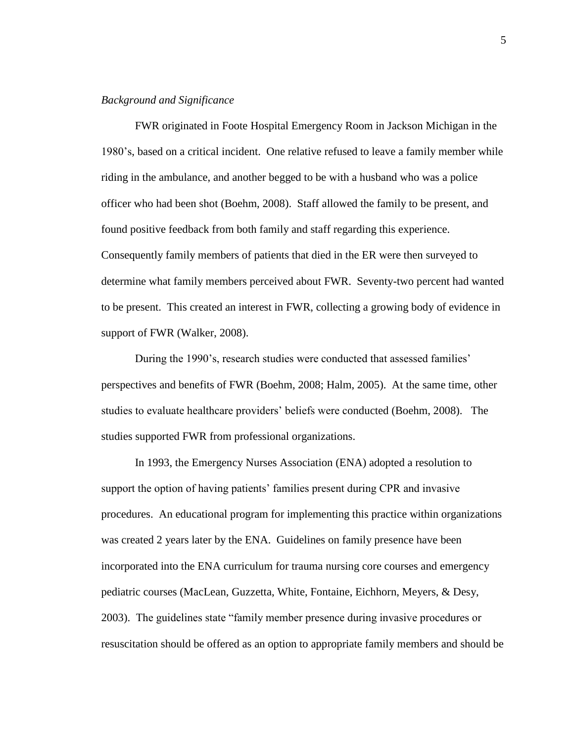# *Background and Significance*

FWR originated in Foote Hospital Emergency Room in Jackson Michigan in the 1980's, based on a critical incident. One relative refused to leave a family member while riding in the ambulance, and another begged to be with a husband who was a police officer who had been shot (Boehm, 2008). Staff allowed the family to be present, and found positive feedback from both family and staff regarding this experience. Consequently family members of patients that died in the ER were then surveyed to determine what family members perceived about FWR. Seventy-two percent had wanted to be present. This created an interest in FWR, collecting a growing body of evidence in support of FWR (Walker, 2008).

During the 1990's, research studies were conducted that assessed families' perspectives and benefits of FWR (Boehm, 2008; Halm, 2005). At the same time, other studies to evaluate healthcare providers' beliefs were conducted (Boehm, 2008). The studies supported FWR from professional organizations.

In 1993, the Emergency Nurses Association (ENA) adopted a resolution to support the option of having patients' families present during CPR and invasive procedures. An educational program for implementing this practice within organizations was created 2 years later by the ENA. Guidelines on family presence have been incorporated into the ENA curriculum for trauma nursing core courses and emergency pediatric courses (MacLean, Guzzetta, White, Fontaine, Eichhorn, Meyers, & Desy, 2003). The guidelines state "family member presence during invasive procedures or resuscitation should be offered as an option to appropriate family members and should be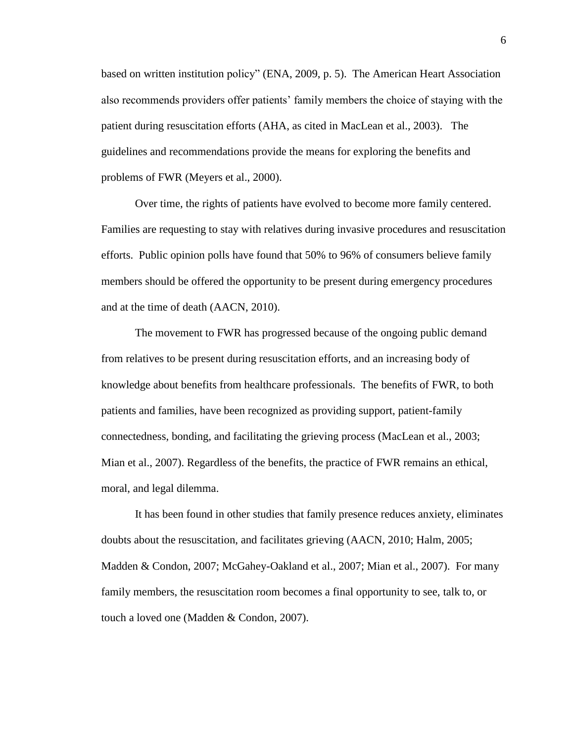based on written institution policy" (ENA, 2009, p. 5). The American Heart Association also recommends providers offer patients' family members the choice of staying with the patient during resuscitation efforts (AHA, as cited in MacLean et al., 2003). The guidelines and recommendations provide the means for exploring the benefits and problems of FWR (Meyers et al., 2000).

Over time, the rights of patients have evolved to become more family centered. Families are requesting to stay with relatives during invasive procedures and resuscitation efforts. Public opinion polls have found that 50% to 96% of consumers believe family members should be offered the opportunity to be present during emergency procedures and at the time of death (AACN, 2010).

The movement to FWR has progressed because of the ongoing public demand from relatives to be present during resuscitation efforts, and an increasing body of knowledge about benefits from healthcare professionals. The benefits of FWR, to both patients and families, have been recognized as providing support, patient-family connectedness, bonding, and facilitating the grieving process (MacLean et al., 2003; Mian et al., 2007). Regardless of the benefits, the practice of FWR remains an ethical, moral, and legal dilemma.

It has been found in other studies that family presence reduces anxiety, eliminates doubts about the resuscitation, and facilitates grieving (AACN, 2010; Halm, 2005; Madden & Condon, 2007; McGahey-Oakland et al., 2007; Mian et al., 2007). For many family members, the resuscitation room becomes a final opportunity to see, talk to, or touch a loved one (Madden & Condon, 2007).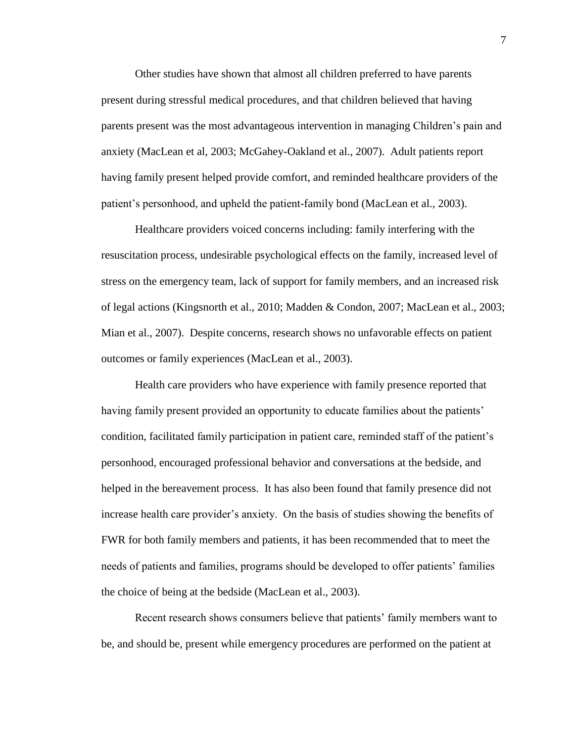Other studies have shown that almost all children preferred to have parents present during stressful medical procedures, and that children believed that having parents present was the most advantageous intervention in managing Children's pain and anxiety (MacLean et al, 2003; McGahey-Oakland et al., 2007). Adult patients report having family present helped provide comfort, and reminded healthcare providers of the patient's personhood, and upheld the patient-family bond (MacLean et al., 2003).

Healthcare providers voiced concerns including: family interfering with the resuscitation process, undesirable psychological effects on the family, increased level of stress on the emergency team, lack of support for family members, and an increased risk of legal actions (Kingsnorth et al., 2010; Madden & Condon, 2007; MacLean et al., 2003; Mian et al., 2007). Despite concerns, research shows no unfavorable effects on patient outcomes or family experiences (MacLean et al., 2003).

Health care providers who have experience with family presence reported that having family present provided an opportunity to educate families about the patients' condition, facilitated family participation in patient care, reminded staff of the patient's personhood, encouraged professional behavior and conversations at the bedside, and helped in the bereavement process. It has also been found that family presence did not increase health care provider's anxiety. On the basis of studies showing the benefits of FWR for both family members and patients, it has been recommended that to meet the needs of patients and families, programs should be developed to offer patients' families the choice of being at the bedside (MacLean et al., 2003).

Recent research shows consumers believe that patients' family members want to be, and should be, present while emergency procedures are performed on the patient at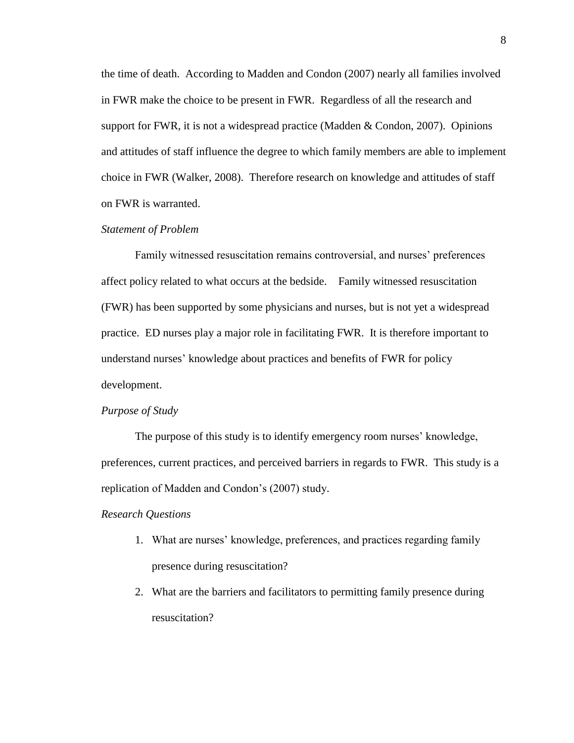the time of death. According to Madden and Condon (2007) nearly all families involved in FWR make the choice to be present in FWR. Regardless of all the research and support for FWR, it is not a widespread practice (Madden  $&$  Condon, 2007). Opinions and attitudes of staff influence the degree to which family members are able to implement choice in FWR (Walker, 2008). Therefore research on knowledge and attitudes of staff on FWR is warranted.

#### *Statement of Problem*

Family witnessed resuscitation remains controversial, and nurses' preferences affect policy related to what occurs at the bedside. Family witnessed resuscitation (FWR) has been supported by some physicians and nurses, but is not yet a widespread practice. ED nurses play a major role in facilitating FWR. It is therefore important to understand nurses' knowledge about practices and benefits of FWR for policy development.

#### *Purpose of Study*

The purpose of this study is to identify emergency room nurses' knowledge, preferences, current practices, and perceived barriers in regards to FWR. This study is a replication of Madden and Condon's (2007) study.

# *Research Questions*

- 1. What are nurses' knowledge, preferences, and practices regarding family presence during resuscitation?
- 2. What are the barriers and facilitators to permitting family presence during resuscitation?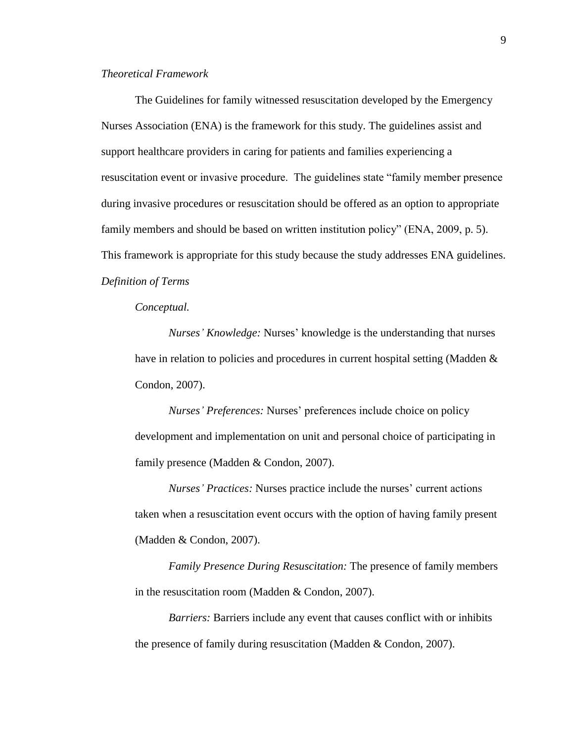# *Theoretical Framework*

The Guidelines for family witnessed resuscitation developed by the Emergency Nurses Association (ENA) is the framework for this study. The guidelines assist and support healthcare providers in caring for patients and families experiencing a resuscitation event or invasive procedure. The guidelines state "family member presence during invasive procedures or resuscitation should be offered as an option to appropriate family members and should be based on written institution policy" (ENA, 2009, p. 5). This framework is appropriate for this study because the study addresses ENA guidelines. *Definition of Terms*

*Conceptual.*

*Nurses' Knowledge:* Nurses' knowledge is the understanding that nurses have in relation to policies and procedures in current hospital setting (Madden & Condon, 2007).

*Nurses' Preferences:* Nurses' preferences include choice on policy development and implementation on unit and personal choice of participating in family presence (Madden & Condon, 2007).

*Nurses' Practices:* Nurses practice include the nurses' current actions taken when a resuscitation event occurs with the option of having family present (Madden & Condon, 2007).

*Family Presence During Resuscitation:* The presence of family members in the resuscitation room (Madden & Condon, 2007).

*Barriers:* Barriers include any event that causes conflict with or inhibits the presence of family during resuscitation (Madden & Condon, 2007).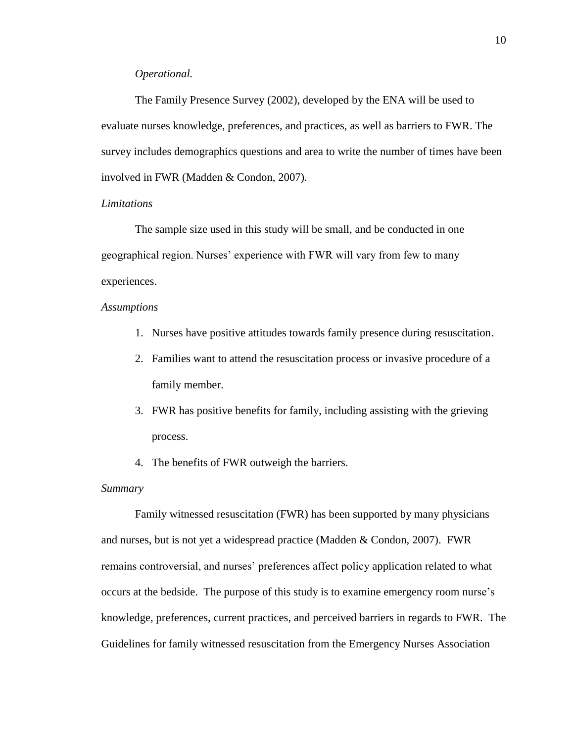# *Operational.*

The Family Presence Survey (2002), developed by the ENA will be used to evaluate nurses knowledge, preferences, and practices, as well as barriers to FWR. The survey includes demographics questions and area to write the number of times have been involved in FWR (Madden & Condon, 2007).

# *Limitations*

The sample size used in this study will be small, and be conducted in one geographical region. Nurses' experience with FWR will vary from few to many experiences.

# *Assumptions*

- 1. Nurses have positive attitudes towards family presence during resuscitation.
- 2. Families want to attend the resuscitation process or invasive procedure of a family member.
- 3. FWR has positive benefits for family, including assisting with the grieving process.
- 4. The benefits of FWR outweigh the barriers.

#### *Summary*

Family witnessed resuscitation (FWR) has been supported by many physicians and nurses, but is not yet a widespread practice (Madden & Condon, 2007). FWR remains controversial, and nurses' preferences affect policy application related to what occurs at the bedside. The purpose of this study is to examine emergency room nurse's knowledge, preferences, current practices, and perceived barriers in regards to FWR. The Guidelines for family witnessed resuscitation from the Emergency Nurses Association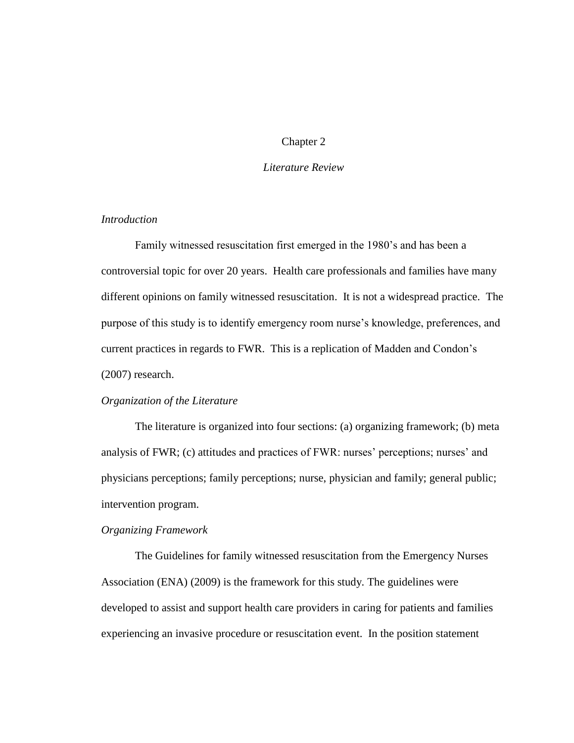# Chapter 2

# *Literature Review*

# *Introduction*

Family witnessed resuscitation first emerged in the 1980's and has been a controversial topic for over 20 years. Health care professionals and families have many different opinions on family witnessed resuscitation. It is not a widespread practice. The purpose of this study is to identify emergency room nurse's knowledge, preferences, and current practices in regards to FWR. This is a replication of Madden and Condon's (2007) research.

#### *Organization of the Literature*

The literature is organized into four sections: (a) organizing framework; (b) meta analysis of FWR; (c) attitudes and practices of FWR: nurses' perceptions; nurses' and physicians perceptions; family perceptions; nurse, physician and family; general public; intervention program.

#### *Organizing Framework*

The Guidelines for family witnessed resuscitation from the Emergency Nurses Association (ENA) (2009) is the framework for this study. The guidelines were developed to assist and support health care providers in caring for patients and families experiencing an invasive procedure or resuscitation event. In the position statement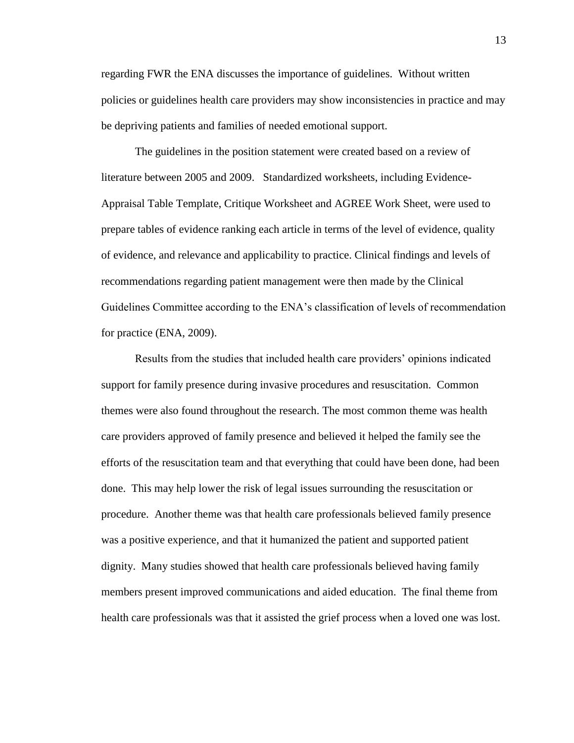regarding FWR the ENA discusses the importance of guidelines. Without written policies or guidelines health care providers may show inconsistencies in practice and may be depriving patients and families of needed emotional support.

The guidelines in the position statement were created based on a review of literature between 2005 and 2009. Standardized worksheets, including Evidence-Appraisal Table Template, Critique Worksheet and AGREE Work Sheet, were used to prepare tables of evidence ranking each article in terms of the level of evidence, quality of evidence, and relevance and applicability to practice. Clinical findings and levels of recommendations regarding patient management were then made by the Clinical Guidelines Committee according to the ENA's classification of levels of recommendation for practice (ENA, 2009).

Results from the studies that included health care providers' opinions indicated support for family presence during invasive procedures and resuscitation. Common themes were also found throughout the research. The most common theme was health care providers approved of family presence and believed it helped the family see the efforts of the resuscitation team and that everything that could have been done, had been done. This may help lower the risk of legal issues surrounding the resuscitation or procedure. Another theme was that health care professionals believed family presence was a positive experience, and that it humanized the patient and supported patient dignity. Many studies showed that health care professionals believed having family members present improved communications and aided education. The final theme from health care professionals was that it assisted the grief process when a loved one was lost.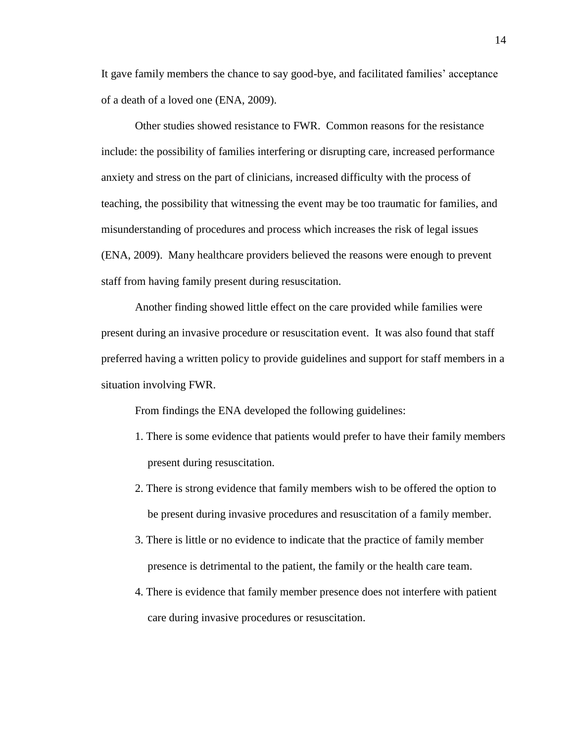It gave family members the chance to say good-bye, and facilitated families' acceptance of a death of a loved one (ENA, 2009).

Other studies showed resistance to FWR. Common reasons for the resistance include: the possibility of families interfering or disrupting care, increased performance anxiety and stress on the part of clinicians, increased difficulty with the process of teaching, the possibility that witnessing the event may be too traumatic for families, and misunderstanding of procedures and process which increases the risk of legal issues (ENA, 2009). Many healthcare providers believed the reasons were enough to prevent staff from having family present during resuscitation.

Another finding showed little effect on the care provided while families were present during an invasive procedure or resuscitation event. It was also found that staff preferred having a written policy to provide guidelines and support for staff members in a situation involving FWR.

From findings the ENA developed the following guidelines:

- 1. There is some evidence that patients would prefer to have their family members present during resuscitation.
- 2. There is strong evidence that family members wish to be offered the option to be present during invasive procedures and resuscitation of a family member.
- 3. There is little or no evidence to indicate that the practice of family member presence is detrimental to the patient, the family or the health care team.
- 4. There is evidence that family member presence does not interfere with patient care during invasive procedures or resuscitation.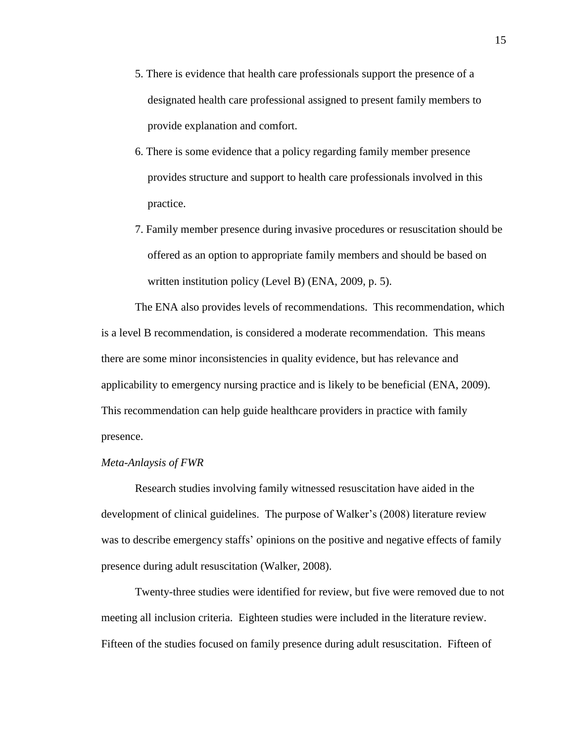- 5. There is evidence that health care professionals support the presence of a designated health care professional assigned to present family members to provide explanation and comfort.
- 6. There is some evidence that a policy regarding family member presence provides structure and support to health care professionals involved in this practice.
- 7. Family member presence during invasive procedures or resuscitation should be offered as an option to appropriate family members and should be based on written institution policy (Level B) (ENA, 2009, p. 5).

The ENA also provides levels of recommendations. This recommendation, which is a level B recommendation, is considered a moderate recommendation. This means there are some minor inconsistencies in quality evidence, but has relevance and applicability to emergency nursing practice and is likely to be beneficial (ENA, 2009). This recommendation can help guide healthcare providers in practice with family presence.

#### *Meta-Anlaysis of FWR*

Research studies involving family witnessed resuscitation have aided in the development of clinical guidelines. The purpose of Walker's (2008) literature review was to describe emergency staffs' opinions on the positive and negative effects of family presence during adult resuscitation (Walker, 2008).

Twenty-three studies were identified for review, but five were removed due to not meeting all inclusion criteria. Eighteen studies were included in the literature review. Fifteen of the studies focused on family presence during adult resuscitation. Fifteen of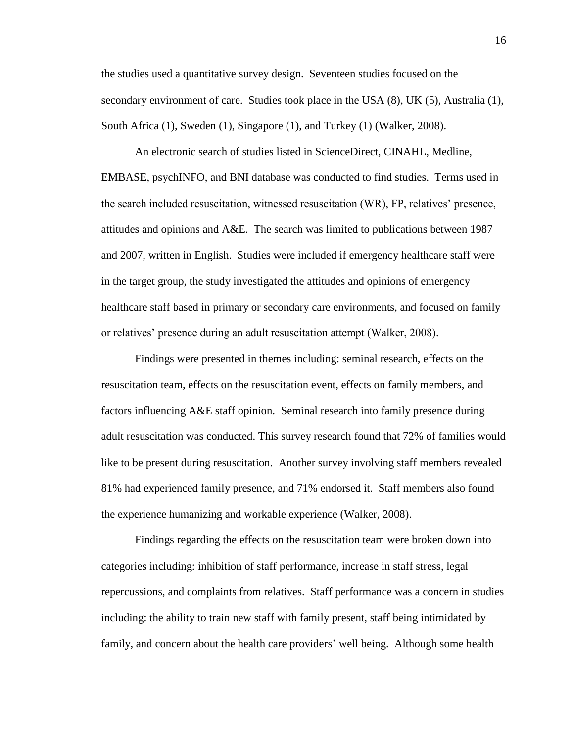the studies used a quantitative survey design. Seventeen studies focused on the secondary environment of care. Studies took place in the USA (8), UK (5), Australia (1), South Africa (1), Sweden (1), Singapore (1), and Turkey (1) (Walker, 2008).

An electronic search of studies listed in ScienceDirect, CINAHL, Medline, EMBASE, psychINFO, and BNI database was conducted to find studies. Terms used in the search included resuscitation, witnessed resuscitation (WR), FP, relatives' presence, attitudes and opinions and A&E. The search was limited to publications between 1987 and 2007, written in English. Studies were included if emergency healthcare staff were in the target group, the study investigated the attitudes and opinions of emergency healthcare staff based in primary or secondary care environments, and focused on family or relatives' presence during an adult resuscitation attempt (Walker, 2008).

Findings were presented in themes including: seminal research, effects on the resuscitation team, effects on the resuscitation event, effects on family members, and factors influencing A&E staff opinion. Seminal research into family presence during adult resuscitation was conducted. This survey research found that 72% of families would like to be present during resuscitation. Another survey involving staff members revealed 81% had experienced family presence, and 71% endorsed it. Staff members also found the experience humanizing and workable experience (Walker, 2008).

Findings regarding the effects on the resuscitation team were broken down into categories including: inhibition of staff performance, increase in staff stress, legal repercussions, and complaints from relatives. Staff performance was a concern in studies including: the ability to train new staff with family present, staff being intimidated by family, and concern about the health care providers' well being. Although some health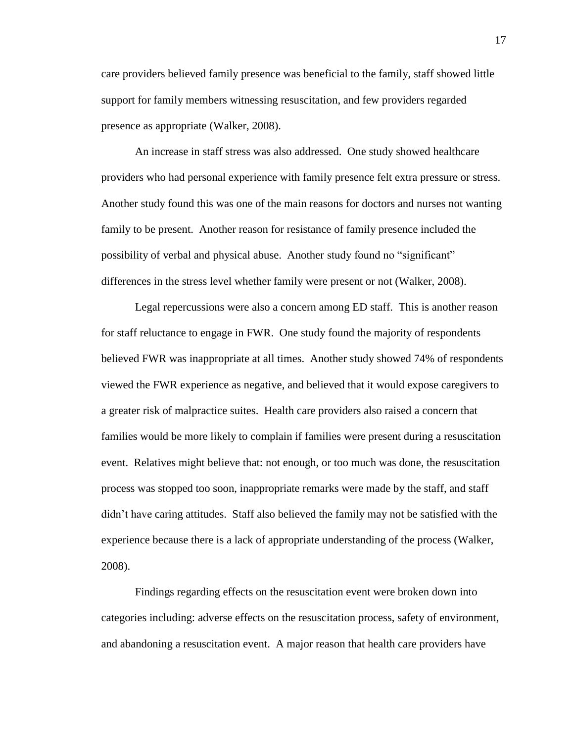care providers believed family presence was beneficial to the family, staff showed little support for family members witnessing resuscitation, and few providers regarded presence as appropriate (Walker, 2008).

An increase in staff stress was also addressed. One study showed healthcare providers who had personal experience with family presence felt extra pressure or stress. Another study found this was one of the main reasons for doctors and nurses not wanting family to be present. Another reason for resistance of family presence included the possibility of verbal and physical abuse. Another study found no "significant" differences in the stress level whether family were present or not (Walker, 2008).

Legal repercussions were also a concern among ED staff. This is another reason for staff reluctance to engage in FWR. One study found the majority of respondents believed FWR was inappropriate at all times. Another study showed 74% of respondents viewed the FWR experience as negative, and believed that it would expose caregivers to a greater risk of malpractice suites. Health care providers also raised a concern that families would be more likely to complain if families were present during a resuscitation event. Relatives might believe that: not enough, or too much was done, the resuscitation process was stopped too soon, inappropriate remarks were made by the staff, and staff didn't have caring attitudes. Staff also believed the family may not be satisfied with the experience because there is a lack of appropriate understanding of the process (Walker, 2008).

Findings regarding effects on the resuscitation event were broken down into categories including: adverse effects on the resuscitation process, safety of environment, and abandoning a resuscitation event. A major reason that health care providers have

17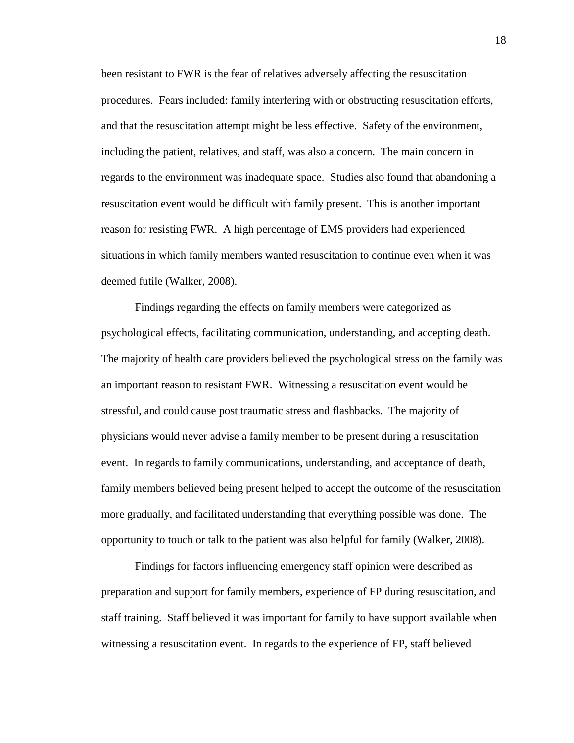been resistant to FWR is the fear of relatives adversely affecting the resuscitation procedures. Fears included: family interfering with or obstructing resuscitation efforts, and that the resuscitation attempt might be less effective. Safety of the environment, including the patient, relatives, and staff, was also a concern. The main concern in regards to the environment was inadequate space. Studies also found that abandoning a resuscitation event would be difficult with family present. This is another important reason for resisting FWR. A high percentage of EMS providers had experienced situations in which family members wanted resuscitation to continue even when it was deemed futile (Walker, 2008).

Findings regarding the effects on family members were categorized as psychological effects, facilitating communication, understanding, and accepting death. The majority of health care providers believed the psychological stress on the family was an important reason to resistant FWR. Witnessing a resuscitation event would be stressful, and could cause post traumatic stress and flashbacks. The majority of physicians would never advise a family member to be present during a resuscitation event. In regards to family communications, understanding, and acceptance of death, family members believed being present helped to accept the outcome of the resuscitation more gradually, and facilitated understanding that everything possible was done. The opportunity to touch or talk to the patient was also helpful for family (Walker, 2008).

Findings for factors influencing emergency staff opinion were described as preparation and support for family members, experience of FP during resuscitation, and staff training. Staff believed it was important for family to have support available when witnessing a resuscitation event. In regards to the experience of FP, staff believed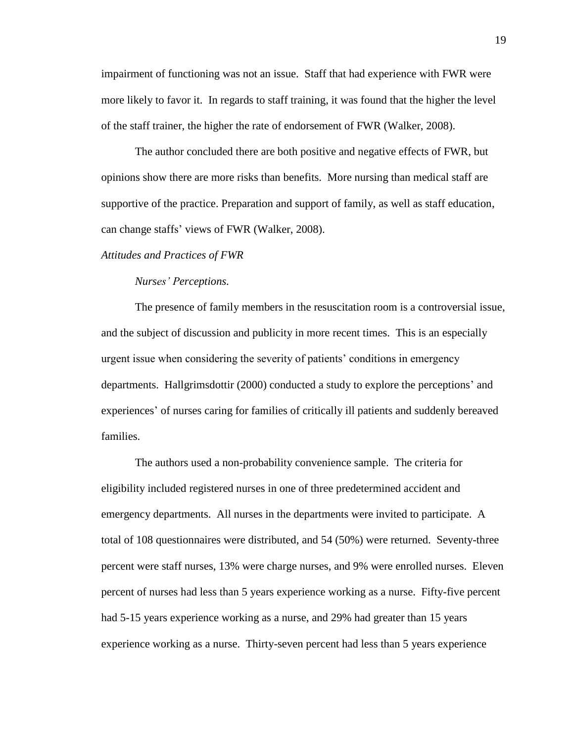impairment of functioning was not an issue. Staff that had experience with FWR were more likely to favor it. In regards to staff training, it was found that the higher the level of the staff trainer, the higher the rate of endorsement of FWR (Walker, 2008).

The author concluded there are both positive and negative effects of FWR, but opinions show there are more risks than benefits. More nursing than medical staff are supportive of the practice. Preparation and support of family, as well as staff education, can change staffs' views of FWR (Walker, 2008).

#### *Attitudes and Practices of FWR*

### *Nurses' Perceptions.*

The presence of family members in the resuscitation room is a controversial issue, and the subject of discussion and publicity in more recent times. This is an especially urgent issue when considering the severity of patients' conditions in emergency departments. Hallgrimsdottir (2000) conducted a study to explore the perceptions' and experiences' of nurses caring for families of critically ill patients and suddenly bereaved families.

The authors used a non-probability convenience sample. The criteria for eligibility included registered nurses in one of three predetermined accident and emergency departments. All nurses in the departments were invited to participate. A total of 108 questionnaires were distributed, and 54 (50%) were returned. Seventy-three percent were staff nurses, 13% were charge nurses, and 9% were enrolled nurses. Eleven percent of nurses had less than 5 years experience working as a nurse. Fifty-five percent had 5-15 years experience working as a nurse, and 29% had greater than 15 years experience working as a nurse. Thirty-seven percent had less than 5 years experience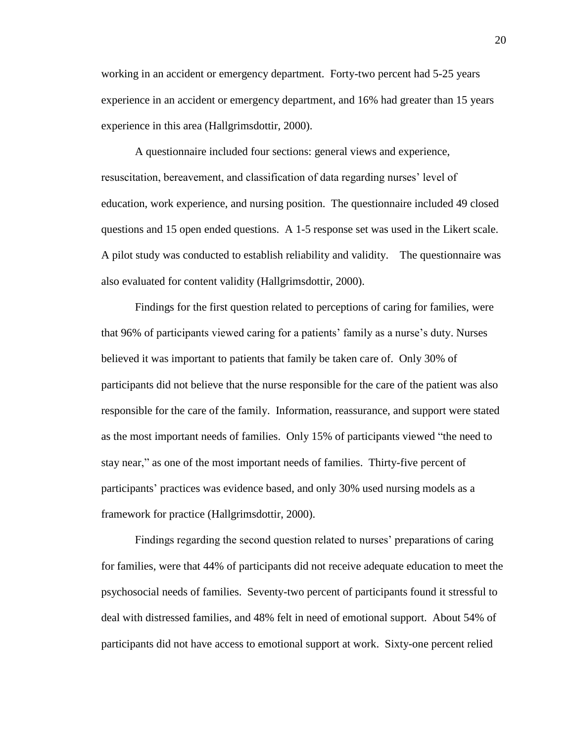working in an accident or emergency department. Forty-two percent had 5-25 years experience in an accident or emergency department, and 16% had greater than 15 years experience in this area (Hallgrimsdottir, 2000).

A questionnaire included four sections: general views and experience, resuscitation, bereavement, and classification of data regarding nurses' level of education, work experience, and nursing position. The questionnaire included 49 closed questions and 15 open ended questions. A 1-5 response set was used in the Likert scale. A pilot study was conducted to establish reliability and validity. The questionnaire was also evaluated for content validity (Hallgrimsdottir, 2000).

Findings for the first question related to perceptions of caring for families, were that 96% of participants viewed caring for a patients' family as a nurse's duty. Nurses believed it was important to patients that family be taken care of. Only 30% of participants did not believe that the nurse responsible for the care of the patient was also responsible for the care of the family. Information, reassurance, and support were stated as the most important needs of families. Only 15% of participants viewed "the need to stay near," as one of the most important needs of families. Thirty-five percent of participants' practices was evidence based, and only 30% used nursing models as a framework for practice (Hallgrimsdottir, 2000).

Findings regarding the second question related to nurses' preparations of caring for families, were that 44% of participants did not receive adequate education to meet the psychosocial needs of families. Seventy-two percent of participants found it stressful to deal with distressed families, and 48% felt in need of emotional support. About 54% of participants did not have access to emotional support at work. Sixty-one percent relied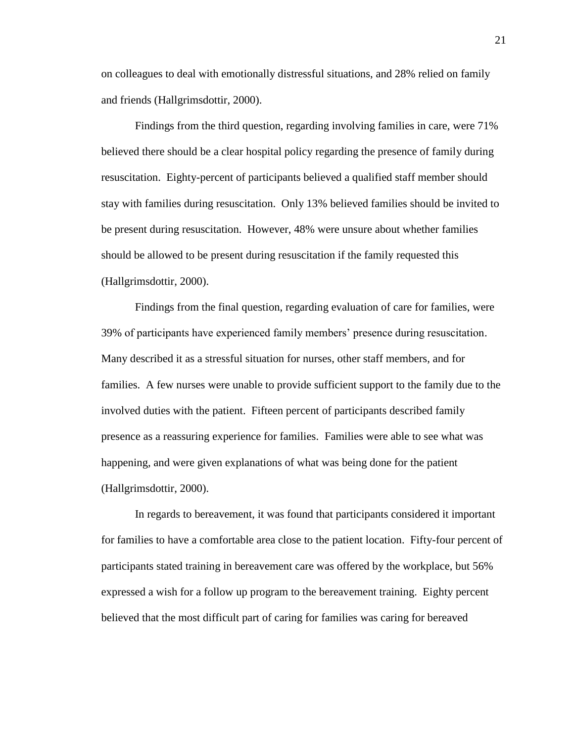on colleagues to deal with emotionally distressful situations, and 28% relied on family and friends (Hallgrimsdottir, 2000).

Findings from the third question, regarding involving families in care, were 71% believed there should be a clear hospital policy regarding the presence of family during resuscitation. Eighty-percent of participants believed a qualified staff member should stay with families during resuscitation. Only 13% believed families should be invited to be present during resuscitation. However, 48% were unsure about whether families should be allowed to be present during resuscitation if the family requested this (Hallgrimsdottir, 2000).

Findings from the final question, regarding evaluation of care for families, were 39% of participants have experienced family members' presence during resuscitation. Many described it as a stressful situation for nurses, other staff members, and for families. A few nurses were unable to provide sufficient support to the family due to the involved duties with the patient. Fifteen percent of participants described family presence as a reassuring experience for families. Families were able to see what was happening, and were given explanations of what was being done for the patient (Hallgrimsdottir, 2000).

In regards to bereavement, it was found that participants considered it important for families to have a comfortable area close to the patient location. Fifty-four percent of participants stated training in bereavement care was offered by the workplace, but 56% expressed a wish for a follow up program to the bereavement training. Eighty percent believed that the most difficult part of caring for families was caring for bereaved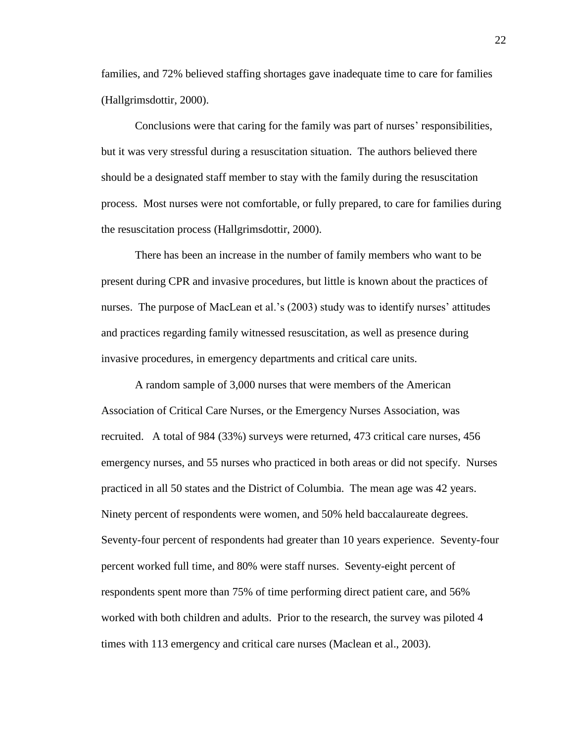families, and 72% believed staffing shortages gave inadequate time to care for families (Hallgrimsdottir, 2000).

Conclusions were that caring for the family was part of nurses' responsibilities, but it was very stressful during a resuscitation situation. The authors believed there should be a designated staff member to stay with the family during the resuscitation process. Most nurses were not comfortable, or fully prepared, to care for families during the resuscitation process (Hallgrimsdottir, 2000).

There has been an increase in the number of family members who want to be present during CPR and invasive procedures, but little is known about the practices of nurses. The purpose of MacLean et al.'s (2003) study was to identify nurses' attitudes and practices regarding family witnessed resuscitation, as well as presence during invasive procedures, in emergency departments and critical care units.

A random sample of 3,000 nurses that were members of the American Association of Critical Care Nurses, or the Emergency Nurses Association, was recruited. A total of 984 (33%) surveys were returned, 473 critical care nurses, 456 emergency nurses, and 55 nurses who practiced in both areas or did not specify. Nurses practiced in all 50 states and the District of Columbia. The mean age was 42 years. Ninety percent of respondents were women, and 50% held baccalaureate degrees. Seventy-four percent of respondents had greater than 10 years experience. Seventy-four percent worked full time, and 80% were staff nurses. Seventy-eight percent of respondents spent more than 75% of time performing direct patient care, and 56% worked with both children and adults. Prior to the research, the survey was piloted 4 times with 113 emergency and critical care nurses (Maclean et al., 2003).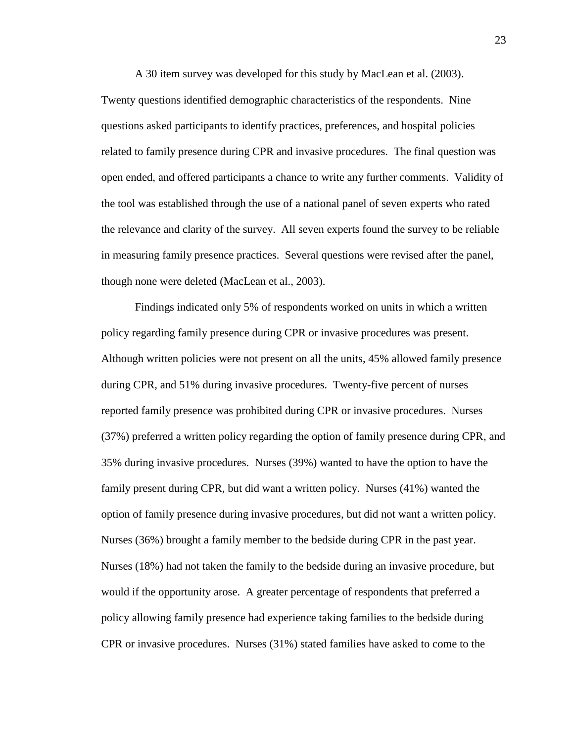A 30 item survey was developed for this study by MacLean et al. (2003). Twenty questions identified demographic characteristics of the respondents. Nine questions asked participants to identify practices, preferences, and hospital policies related to family presence during CPR and invasive procedures. The final question was open ended, and offered participants a chance to write any further comments. Validity of the tool was established through the use of a national panel of seven experts who rated the relevance and clarity of the survey. All seven experts found the survey to be reliable in measuring family presence practices. Several questions were revised after the panel, though none were deleted (MacLean et al., 2003).

Findings indicated only 5% of respondents worked on units in which a written policy regarding family presence during CPR or invasive procedures was present. Although written policies were not present on all the units, 45% allowed family presence during CPR, and 51% during invasive procedures. Twenty-five percent of nurses reported family presence was prohibited during CPR or invasive procedures. Nurses (37%) preferred a written policy regarding the option of family presence during CPR, and 35% during invasive procedures. Nurses (39%) wanted to have the option to have the family present during CPR, but did want a written policy. Nurses (41%) wanted the option of family presence during invasive procedures, but did not want a written policy. Nurses (36%) brought a family member to the bedside during CPR in the past year. Nurses (18%) had not taken the family to the bedside during an invasive procedure, but would if the opportunity arose. A greater percentage of respondents that preferred a policy allowing family presence had experience taking families to the bedside during CPR or invasive procedures. Nurses (31%) stated families have asked to come to the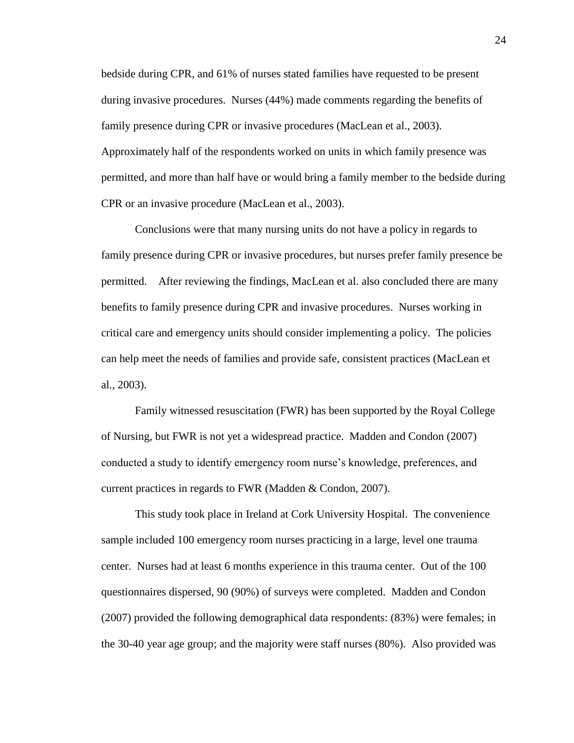bedside during CPR, and 61% of nurses stated families have requested to be present during invasive procedures. Nurses (44%) made comments regarding the benefits of family presence during CPR or invasive procedures (MacLean et al., 2003). Approximately half of the respondents worked on units in which family presence was permitted, and more than half have or would bring a family member to the bedside during CPR or an invasive procedure (MacLean et al., 2003).

Conclusions were that many nursing units do not have a policy in regards to family presence during CPR or invasive procedures, but nurses prefer family presence be permitted. After reviewing the findings, MacLean et al. also concluded there are many benefits to family presence during CPR and invasive procedures. Nurses working in critical care and emergency units should consider implementing a policy. The policies can help meet the needs of families and provide safe, consistent practices (MacLean et al., 2003).

Family witnessed resuscitation (FWR) has been supported by the Royal College of Nursing, but FWR is not yet a widespread practice. Madden and Condon (2007) conducted a study to identify emergency room nurse's knowledge, preferences, and current practices in regards to FWR (Madden & Condon, 2007).

This study took place in Ireland at Cork University Hospital. The convenience sample included 100 emergency room nurses practicing in a large, level one trauma center. Nurses had at least 6 months experience in this trauma center. Out of the 100 questionnaires dispersed, 90 (90%) of surveys were completed. Madden and Condon (2007) provided the following demographical data respondents: (83%) were females; in the 30-40 year age group; and the majority were staff nurses (80%). Also provided was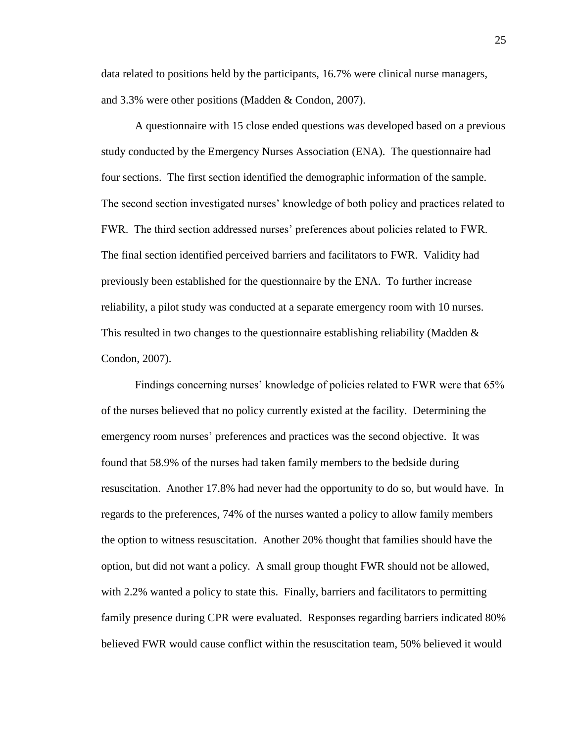data related to positions held by the participants, 16.7% were clinical nurse managers, and 3.3% were other positions (Madden & Condon, 2007).

A questionnaire with 15 close ended questions was developed based on a previous study conducted by the Emergency Nurses Association (ENA). The questionnaire had four sections. The first section identified the demographic information of the sample. The second section investigated nurses' knowledge of both policy and practices related to FWR. The third section addressed nurses' preferences about policies related to FWR. The final section identified perceived barriers and facilitators to FWR. Validity had previously been established for the questionnaire by the ENA. To further increase reliability, a pilot study was conducted at a separate emergency room with 10 nurses. This resulted in two changes to the questionnaire establishing reliability (Madden  $\&$ Condon, 2007).

Findings concerning nurses' knowledge of policies related to FWR were that 65% of the nurses believed that no policy currently existed at the facility. Determining the emergency room nurses' preferences and practices was the second objective. It was found that 58.9% of the nurses had taken family members to the bedside during resuscitation. Another 17.8% had never had the opportunity to do so, but would have. In regards to the preferences, 74% of the nurses wanted a policy to allow family members the option to witness resuscitation. Another 20% thought that families should have the option, but did not want a policy. A small group thought FWR should not be allowed, with 2.2% wanted a policy to state this. Finally, barriers and facilitators to permitting family presence during CPR were evaluated. Responses regarding barriers indicated 80% believed FWR would cause conflict within the resuscitation team, 50% believed it would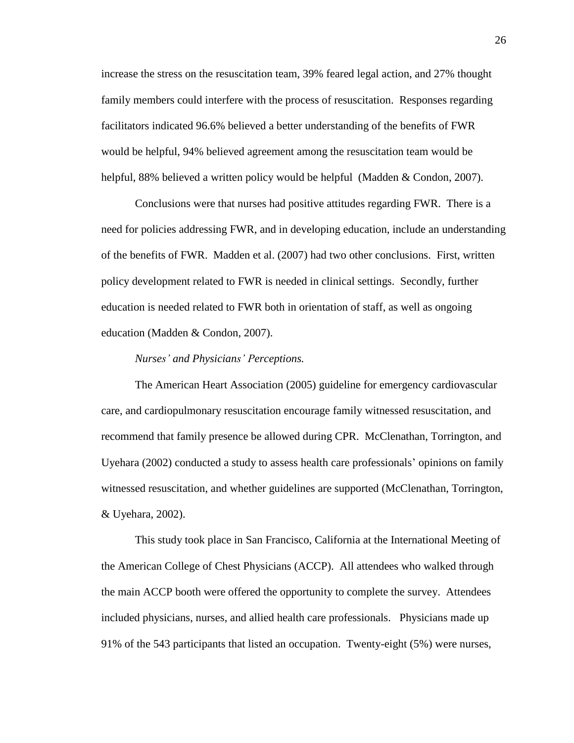increase the stress on the resuscitation team, 39% feared legal action, and 27% thought family members could interfere with the process of resuscitation. Responses regarding facilitators indicated 96.6% believed a better understanding of the benefits of FWR would be helpful, 94% believed agreement among the resuscitation team would be helpful, 88% believed a written policy would be helpful (Madden & Condon, 2007).

Conclusions were that nurses had positive attitudes regarding FWR. There is a need for policies addressing FWR, and in developing education, include an understanding of the benefits of FWR. Madden et al. (2007) had two other conclusions. First, written policy development related to FWR is needed in clinical settings. Secondly, further education is needed related to FWR both in orientation of staff, as well as ongoing education (Madden & Condon, 2007).

#### *Nurses' and Physicians' Perceptions.*

The American Heart Association (2005) guideline for emergency cardiovascular care, and cardiopulmonary resuscitation encourage family witnessed resuscitation, and recommend that family presence be allowed during CPR. McClenathan, Torrington, and Uyehara (2002) conducted a study to assess health care professionals' opinions on family witnessed resuscitation, and whether guidelines are supported (McClenathan, Torrington, & Uyehara, 2002).

This study took place in San Francisco, California at the International Meeting of the American College of Chest Physicians (ACCP). All attendees who walked through the main ACCP booth were offered the opportunity to complete the survey. Attendees included physicians, nurses, and allied health care professionals. Physicians made up 91% of the 543 participants that listed an occupation. Twenty-eight (5%) were nurses,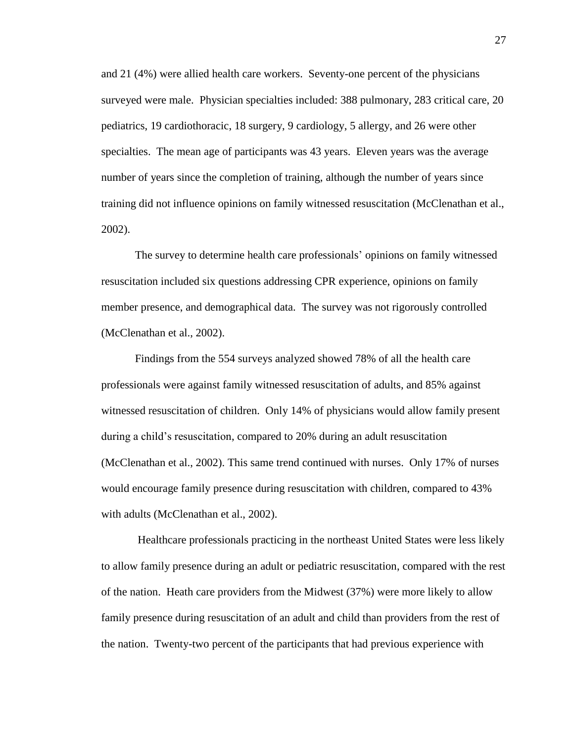and 21 (4%) were allied health care workers. Seventy-one percent of the physicians surveyed were male. Physician specialties included: 388 pulmonary, 283 critical care, 20 pediatrics, 19 cardiothoracic, 18 surgery, 9 cardiology, 5 allergy, and 26 were other specialties. The mean age of participants was 43 years. Eleven years was the average number of years since the completion of training, although the number of years since training did not influence opinions on family witnessed resuscitation (McClenathan et al., 2002).

The survey to determine health care professionals' opinions on family witnessed resuscitation included six questions addressing CPR experience, opinions on family member presence, and demographical data. The survey was not rigorously controlled (McClenathan et al., 2002).

Findings from the 554 surveys analyzed showed 78% of all the health care professionals were against family witnessed resuscitation of adults, and 85% against witnessed resuscitation of children. Only 14% of physicians would allow family present during a child's resuscitation, compared to 20% during an adult resuscitation (McClenathan et al., 2002). This same trend continued with nurses. Only 17% of nurses would encourage family presence during resuscitation with children, compared to 43% with adults (McClenathan et al., 2002).

Healthcare professionals practicing in the northeast United States were less likely to allow family presence during an adult or pediatric resuscitation, compared with the rest of the nation. Heath care providers from the Midwest (37%) were more likely to allow family presence during resuscitation of an adult and child than providers from the rest of the nation. Twenty-two percent of the participants that had previous experience with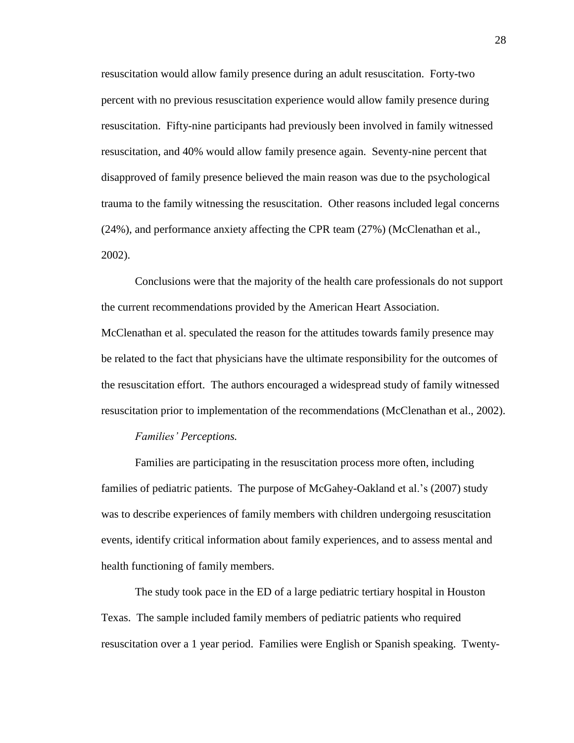resuscitation would allow family presence during an adult resuscitation. Forty-two percent with no previous resuscitation experience would allow family presence during resuscitation. Fifty-nine participants had previously been involved in family witnessed resuscitation, and 40% would allow family presence again. Seventy-nine percent that disapproved of family presence believed the main reason was due to the psychological trauma to the family witnessing the resuscitation. Other reasons included legal concerns (24%), and performance anxiety affecting the CPR team (27%) (McClenathan et al., 2002).

Conclusions were that the majority of the health care professionals do not support the current recommendations provided by the American Heart Association. McClenathan et al. speculated the reason for the attitudes towards family presence may be related to the fact that physicians have the ultimate responsibility for the outcomes of the resuscitation effort. The authors encouraged a widespread study of family witnessed resuscitation prior to implementation of the recommendations (McClenathan et al., 2002).

# *Families' Perceptions.*

Families are participating in the resuscitation process more often, including families of pediatric patients. The purpose of McGahey-Oakland et al.'s (2007) study was to describe experiences of family members with children undergoing resuscitation events, identify critical information about family experiences, and to assess mental and health functioning of family members.

The study took pace in the ED of a large pediatric tertiary hospital in Houston Texas. The sample included family members of pediatric patients who required resuscitation over a 1 year period. Families were English or Spanish speaking. Twenty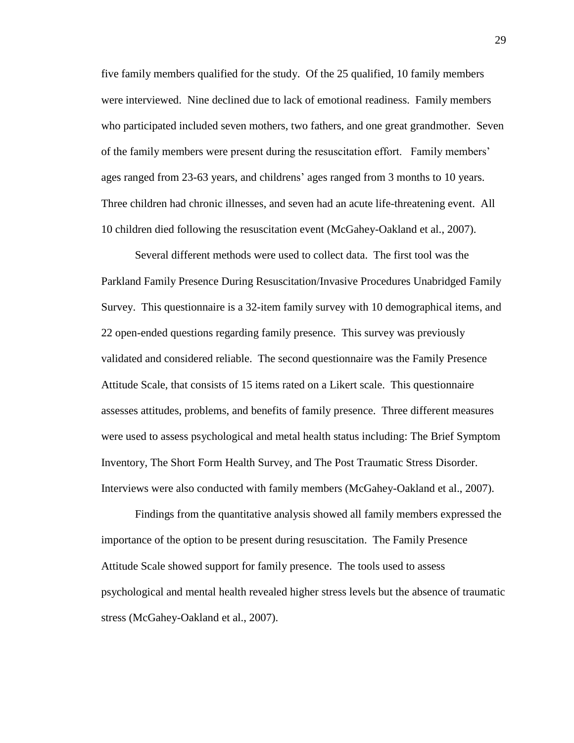five family members qualified for the study. Of the 25 qualified, 10 family members were interviewed. Nine declined due to lack of emotional readiness. Family members who participated included seven mothers, two fathers, and one great grandmother. Seven of the family members were present during the resuscitation effort. Family members' ages ranged from 23-63 years, and childrens' ages ranged from 3 months to 10 years. Three children had chronic illnesses, and seven had an acute life-threatening event. All 10 children died following the resuscitation event (McGahey-Oakland et al., 2007).

Several different methods were used to collect data. The first tool was the Parkland Family Presence During Resuscitation/Invasive Procedures Unabridged Family Survey. This questionnaire is a 32-item family survey with 10 demographical items, and 22 open-ended questions regarding family presence. This survey was previously validated and considered reliable. The second questionnaire was the Family Presence Attitude Scale, that consists of 15 items rated on a Likert scale. This questionnaire assesses attitudes, problems, and benefits of family presence. Three different measures were used to assess psychological and metal health status including: The Brief Symptom Inventory, The Short Form Health Survey, and The Post Traumatic Stress Disorder. Interviews were also conducted with family members (McGahey-Oakland et al., 2007).

Findings from the quantitative analysis showed all family members expressed the importance of the option to be present during resuscitation. The Family Presence Attitude Scale showed support for family presence. The tools used to assess psychological and mental health revealed higher stress levels but the absence of traumatic stress (McGahey-Oakland et al., 2007).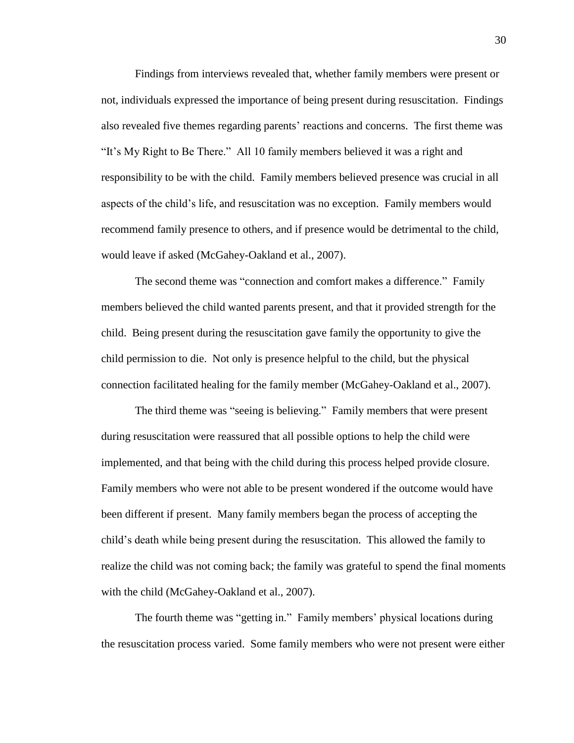Findings from interviews revealed that, whether family members were present or not, individuals expressed the importance of being present during resuscitation. Findings also revealed five themes regarding parents' reactions and concerns. The first theme was "It's My Right to Be There." All 10 family members believed it was a right and responsibility to be with the child. Family members believed presence was crucial in all aspects of the child's life, and resuscitation was no exception. Family members would recommend family presence to others, and if presence would be detrimental to the child, would leave if asked (McGahey-Oakland et al., 2007).

The second theme was "connection and comfort makes a difference." Family members believed the child wanted parents present, and that it provided strength for the child. Being present during the resuscitation gave family the opportunity to give the child permission to die. Not only is presence helpful to the child, but the physical connection facilitated healing for the family member (McGahey-Oakland et al., 2007).

The third theme was "seeing is believing." Family members that were present during resuscitation were reassured that all possible options to help the child were implemented, and that being with the child during this process helped provide closure. Family members who were not able to be present wondered if the outcome would have been different if present. Many family members began the process of accepting the child's death while being present during the resuscitation. This allowed the family to realize the child was not coming back; the family was grateful to spend the final moments with the child (McGahey-Oakland et al., 2007).

The fourth theme was "getting in." Family members' physical locations during the resuscitation process varied. Some family members who were not present were either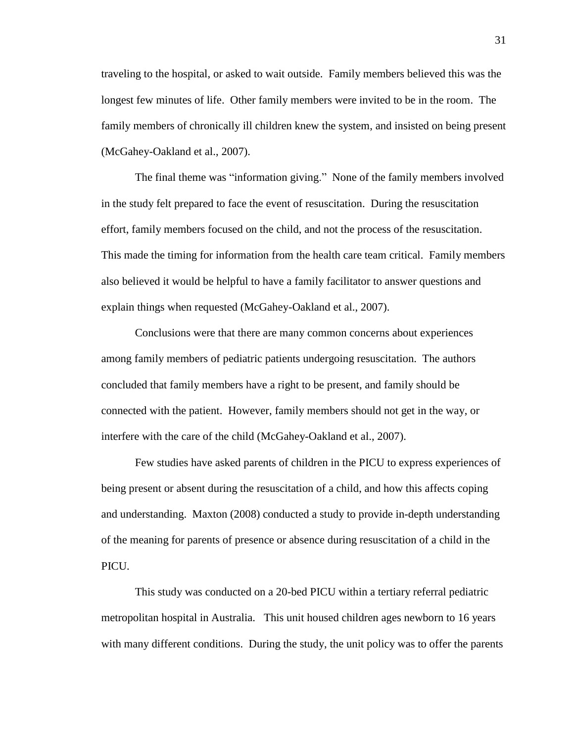traveling to the hospital, or asked to wait outside. Family members believed this was the longest few minutes of life. Other family members were invited to be in the room. The family members of chronically ill children knew the system, and insisted on being present (McGahey-Oakland et al., 2007).

The final theme was "information giving." None of the family members involved in the study felt prepared to face the event of resuscitation. During the resuscitation effort, family members focused on the child, and not the process of the resuscitation. This made the timing for information from the health care team critical. Family members also believed it would be helpful to have a family facilitator to answer questions and explain things when requested (McGahey-Oakland et al., 2007).

Conclusions were that there are many common concerns about experiences among family members of pediatric patients undergoing resuscitation. The authors concluded that family members have a right to be present, and family should be connected with the patient. However, family members should not get in the way, or interfere with the care of the child (McGahey-Oakland et al., 2007).

Few studies have asked parents of children in the PICU to express experiences of being present or absent during the resuscitation of a child, and how this affects coping and understanding. Maxton (2008) conducted a study to provide in-depth understanding of the meaning for parents of presence or absence during resuscitation of a child in the PICU.

This study was conducted on a 20-bed PICU within a tertiary referral pediatric metropolitan hospital in Australia. This unit housed children ages newborn to 16 years with many different conditions. During the study, the unit policy was to offer the parents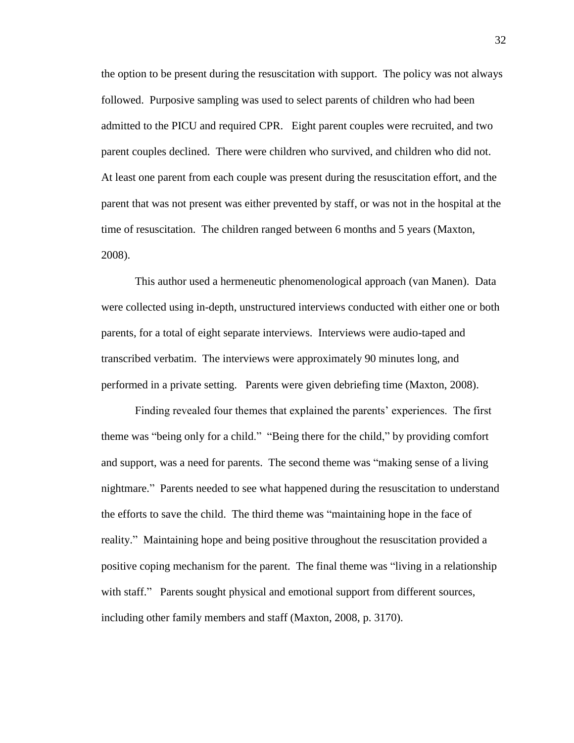the option to be present during the resuscitation with support. The policy was not always followed. Purposive sampling was used to select parents of children who had been admitted to the PICU and required CPR. Eight parent couples were recruited, and two parent couples declined. There were children who survived, and children who did not. At least one parent from each couple was present during the resuscitation effort, and the parent that was not present was either prevented by staff, or was not in the hospital at the time of resuscitation. The children ranged between 6 months and 5 years (Maxton, 2008).

This author used a hermeneutic phenomenological approach (van Manen). Data were collected using in-depth, unstructured interviews conducted with either one or both parents, for a total of eight separate interviews. Interviews were audio-taped and transcribed verbatim. The interviews were approximately 90 minutes long, and performed in a private setting. Parents were given debriefing time (Maxton, 2008).

Finding revealed four themes that explained the parents' experiences. The first theme was "being only for a child." "Being there for the child," by providing comfort and support, was a need for parents. The second theme was "making sense of a living nightmare." Parents needed to see what happened during the resuscitation to understand the efforts to save the child. The third theme was "maintaining hope in the face of reality." Maintaining hope and being positive throughout the resuscitation provided a positive coping mechanism for the parent. The final theme was "living in a relationship with staff." Parents sought physical and emotional support from different sources, including other family members and staff (Maxton, 2008, p. 3170).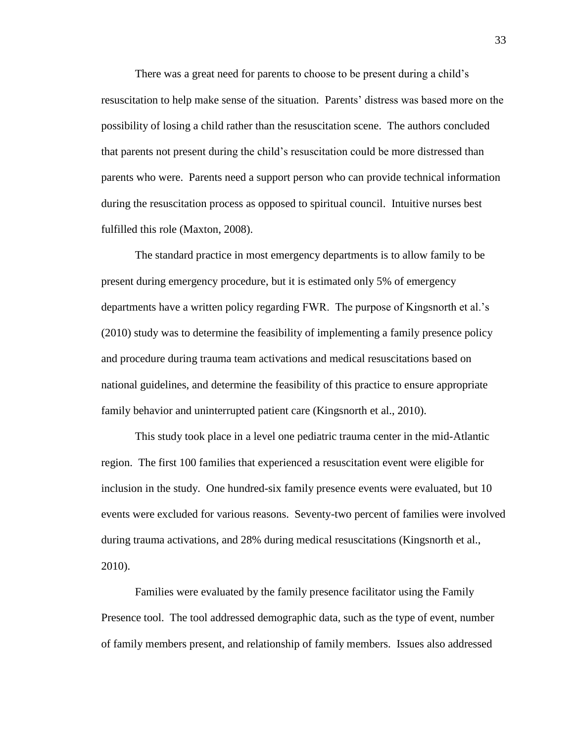There was a great need for parents to choose to be present during a child's resuscitation to help make sense of the situation. Parents' distress was based more on the possibility of losing a child rather than the resuscitation scene. The authors concluded that parents not present during the child's resuscitation could be more distressed than parents who were. Parents need a support person who can provide technical information during the resuscitation process as opposed to spiritual council. Intuitive nurses best fulfilled this role (Maxton, 2008).

The standard practice in most emergency departments is to allow family to be present during emergency procedure, but it is estimated only 5% of emergency departments have a written policy regarding FWR. The purpose of Kingsnorth et al.'s (2010) study was to determine the feasibility of implementing a family presence policy and procedure during trauma team activations and medical resuscitations based on national guidelines, and determine the feasibility of this practice to ensure appropriate family behavior and uninterrupted patient care (Kingsnorth et al., 2010).

This study took place in a level one pediatric trauma center in the mid-Atlantic region. The first 100 families that experienced a resuscitation event were eligible for inclusion in the study. One hundred-six family presence events were evaluated, but 10 events were excluded for various reasons. Seventy-two percent of families were involved during trauma activations, and 28% during medical resuscitations (Kingsnorth et al., 2010).

Families were evaluated by the family presence facilitator using the Family Presence tool. The tool addressed demographic data, such as the type of event, number of family members present, and relationship of family members. Issues also addressed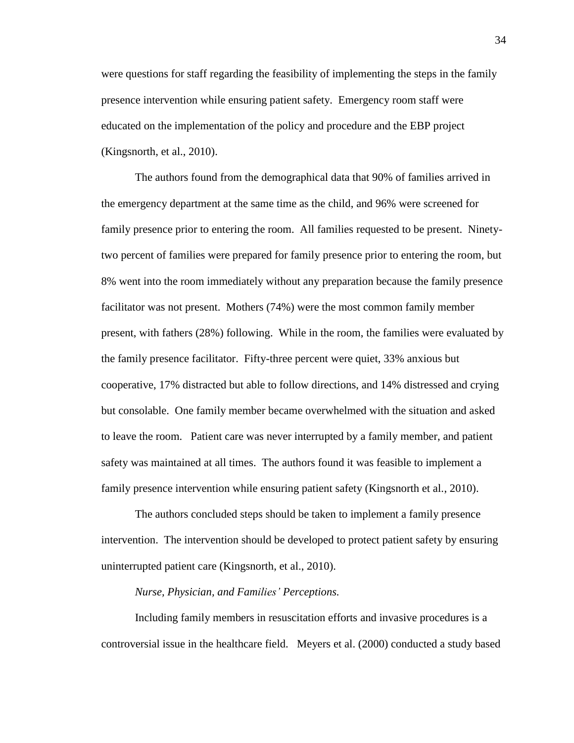were questions for staff regarding the feasibility of implementing the steps in the family presence intervention while ensuring patient safety. Emergency room staff were educated on the implementation of the policy and procedure and the EBP project (Kingsnorth, et al., 2010).

The authors found from the demographical data that 90% of families arrived in the emergency department at the same time as the child, and 96% were screened for family presence prior to entering the room. All families requested to be present. Ninetytwo percent of families were prepared for family presence prior to entering the room, but 8% went into the room immediately without any preparation because the family presence facilitator was not present. Mothers (74%) were the most common family member present, with fathers (28%) following. While in the room, the families were evaluated by the family presence facilitator. Fifty-three percent were quiet, 33% anxious but cooperative, 17% distracted but able to follow directions, and 14% distressed and crying but consolable. One family member became overwhelmed with the situation and asked to leave the room. Patient care was never interrupted by a family member, and patient safety was maintained at all times. The authors found it was feasible to implement a family presence intervention while ensuring patient safety (Kingsnorth et al., 2010).

The authors concluded steps should be taken to implement a family presence intervention. The intervention should be developed to protect patient safety by ensuring uninterrupted patient care (Kingsnorth, et al., 2010).

# *Nurse, Physician, and Families' Perceptions.*

Including family members in resuscitation efforts and invasive procedures is a controversial issue in the healthcare field. Meyers et al. (2000) conducted a study based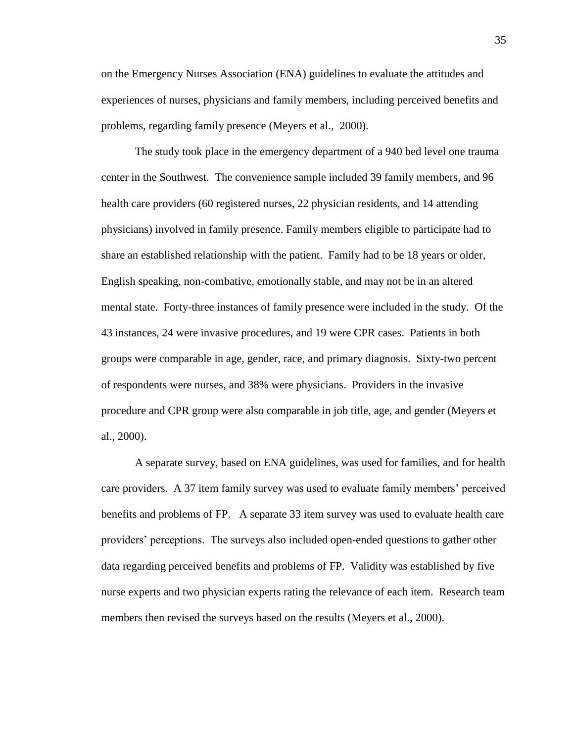on the Emergency Nurses Association (ENA) guidelines to evaluate the attitudes and experiences of nurses, physicians and family members, including perceived benefits and problems, regarding family presence (Meyers et al., 2000).

The study took place in the emergency department of a 940 bed level one trauma center in the Southwest. The convenience sample included 39 family members, and 96 health care providers (60 registered nurses, 22 physician residents, and 14 attending physicians) involved in family presence. Family members eligible to participate had to share an established relationship with the patient. Family had to be 18 years or older, English speaking, non-combative, emotionally stable, and may not be in an altered mental state. Forty-three instances of family presence were included in the study. Of the 43 instances, 24 were invasive procedures, and 19 were CPR cases. Patients in both groups were comparable in age, gender, race, and primary diagnosis. Sixty-two percent of respondents were nurses, and 38% were physicians. Providers in the invasive procedure and CPR group were also comparable in job title, age, and gender (Meyers et al., 2000).

A separate survey, based on ENA guidelines, was used for families, and for health care providers. A 37 item family survey was used to evaluate family members' perceived benefits and problems of FP. A separate 33 item survey was used to evaluate health care providers' perceptions. The surveys also included open-ended questions to gather other data regarding perceived benefits and problems of FP. Validity was established by five nurse experts and two physician experts rating the relevance of each item. Research team members then revised the surveys based on the results (Meyers et al., 2000).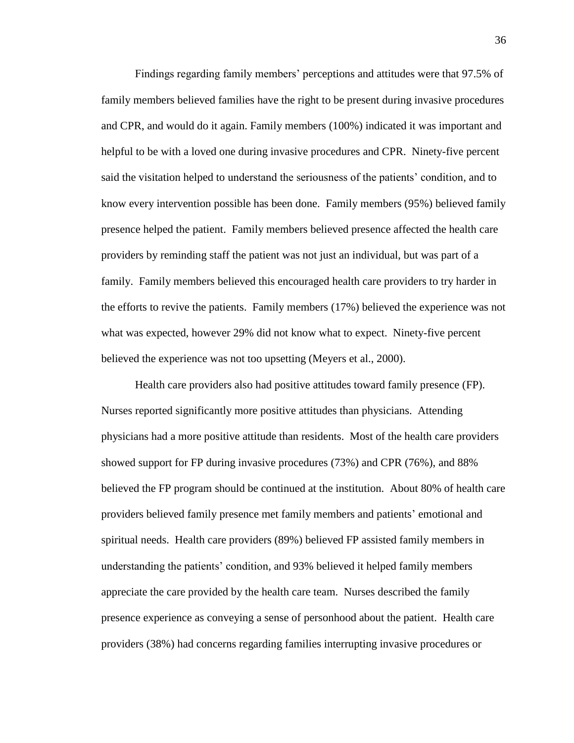Findings regarding family members' perceptions and attitudes were that 97.5% of family members believed families have the right to be present during invasive procedures and CPR, and would do it again. Family members (100%) indicated it was important and helpful to be with a loved one during invasive procedures and CPR. Ninety-five percent said the visitation helped to understand the seriousness of the patients' condition, and to know every intervention possible has been done. Family members (95%) believed family presence helped the patient. Family members believed presence affected the health care providers by reminding staff the patient was not just an individual, but was part of a family. Family members believed this encouraged health care providers to try harder in the efforts to revive the patients. Family members (17%) believed the experience was not what was expected, however 29% did not know what to expect. Ninety-five percent believed the experience was not too upsetting (Meyers et al., 2000).

Health care providers also had positive attitudes toward family presence (FP). Nurses reported significantly more positive attitudes than physicians. Attending physicians had a more positive attitude than residents. Most of the health care providers showed support for FP during invasive procedures (73%) and CPR (76%), and 88% believed the FP program should be continued at the institution. About 80% of health care providers believed family presence met family members and patients' emotional and spiritual needs. Health care providers (89%) believed FP assisted family members in understanding the patients' condition, and 93% believed it helped family members appreciate the care provided by the health care team. Nurses described the family presence experience as conveying a sense of personhood about the patient. Health care providers (38%) had concerns regarding families interrupting invasive procedures or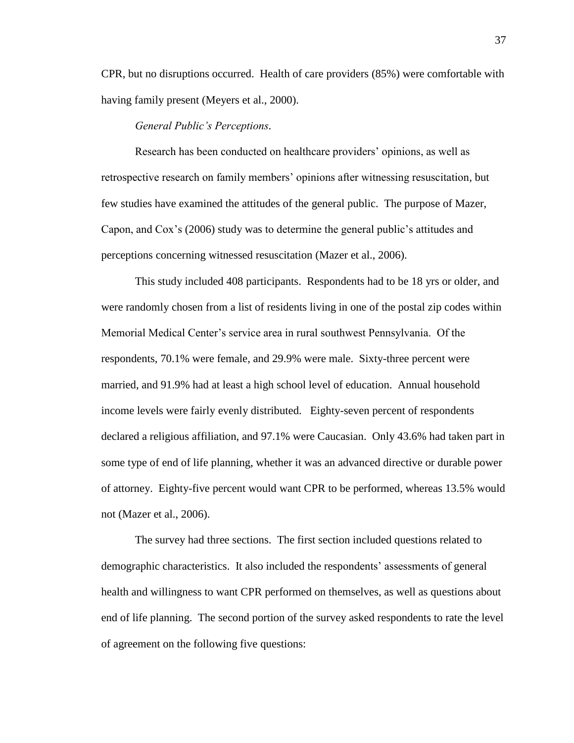CPR, but no disruptions occurred. Health of care providers (85%) were comfortable with having family present (Meyers et al., 2000).

# *General Public's Perceptions.*

Research has been conducted on healthcare providers' opinions, as well as retrospective research on family members' opinions after witnessing resuscitation, but few studies have examined the attitudes of the general public. The purpose of Mazer, Capon, and Cox's (2006) study was to determine the general public's attitudes and perceptions concerning witnessed resuscitation (Mazer et al., 2006).

This study included 408 participants. Respondents had to be 18 yrs or older, and were randomly chosen from a list of residents living in one of the postal zip codes within Memorial Medical Center's service area in rural southwest Pennsylvania. Of the respondents, 70.1% were female, and 29.9% were male. Sixty-three percent were married, and 91.9% had at least a high school level of education. Annual household income levels were fairly evenly distributed. Eighty-seven percent of respondents declared a religious affiliation, and 97.1% were Caucasian. Only 43.6% had taken part in some type of end of life planning, whether it was an advanced directive or durable power of attorney. Eighty-five percent would want CPR to be performed, whereas 13.5% would not (Mazer et al., 2006).

The survey had three sections. The first section included questions related to demographic characteristics. It also included the respondents' assessments of general health and willingness to want CPR performed on themselves, as well as questions about end of life planning. The second portion of the survey asked respondents to rate the level of agreement on the following five questions: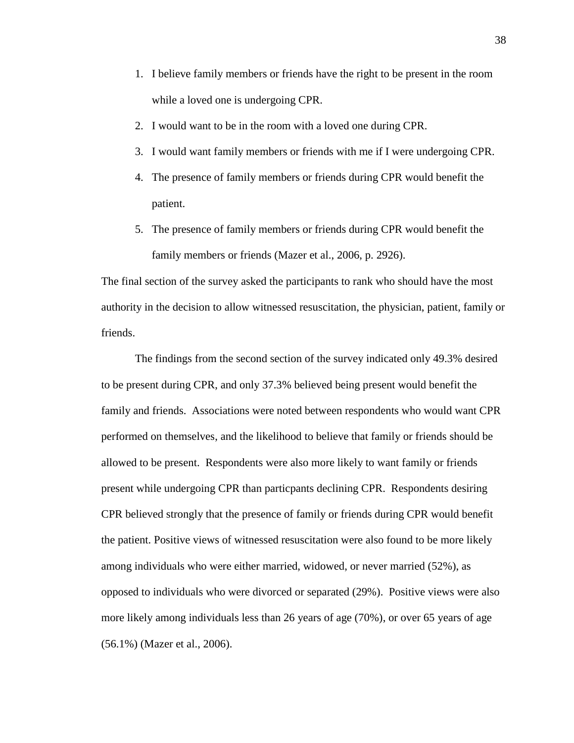- 1. I believe family members or friends have the right to be present in the room while a loved one is undergoing CPR.
- 2. I would want to be in the room with a loved one during CPR.
- 3. I would want family members or friends with me if I were undergoing CPR.
- 4. The presence of family members or friends during CPR would benefit the patient.
- 5. The presence of family members or friends during CPR would benefit the family members or friends (Mazer et al., 2006, p. 2926).

The final section of the survey asked the participants to rank who should have the most authority in the decision to allow witnessed resuscitation, the physician, patient, family or friends.

The findings from the second section of the survey indicated only 49.3% desired to be present during CPR, and only 37.3% believed being present would benefit the family and friends. Associations were noted between respondents who would want CPR performed on themselves, and the likelihood to believe that family or friends should be allowed to be present. Respondents were also more likely to want family or friends present while undergoing CPR than particpants declining CPR. Respondents desiring CPR believed strongly that the presence of family or friends during CPR would benefit the patient. Positive views of witnessed resuscitation were also found to be more likely among individuals who were either married, widowed, or never married (52%), as opposed to individuals who were divorced or separated (29%). Positive views were also more likely among individuals less than 26 years of age (70%), or over 65 years of age (56.1%) (Mazer et al., 2006).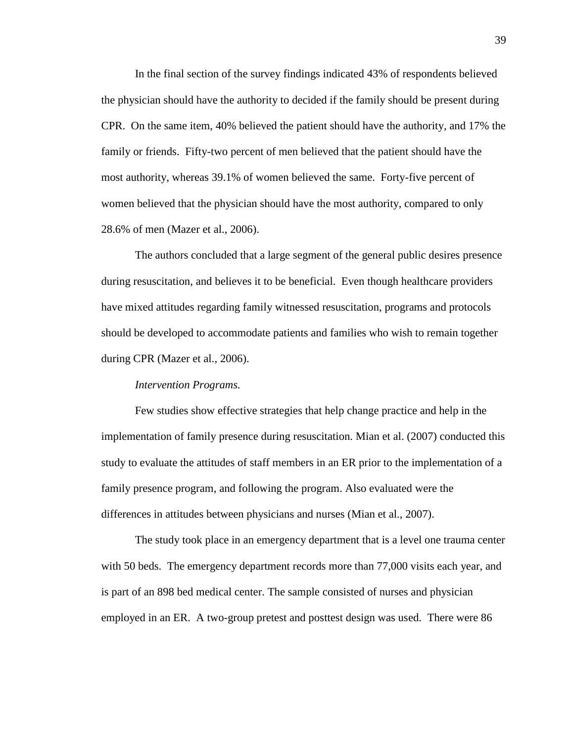In the final section of the survey findings indicated 43% of respondents believed the physician should have the authority to decided if the family should be present during CPR. On the same item, 40% believed the patient should have the authority, and 17% the family or friends. Fifty-two percent of men believed that the patient should have the most authority, whereas 39.1% of women believed the same. Forty-five percent of women believed that the physician should have the most authority, compared to only 28.6% of men (Mazer et al., 2006).

The authors concluded that a large segment of the general public desires presence during resuscitation, and believes it to be beneficial. Even though healthcare providers have mixed attitudes regarding family witnessed resuscitation, programs and protocols should be developed to accommodate patients and families who wish to remain together during CPR (Mazer et al., 2006).

#### *Intervention Programs.*

Few studies show effective strategies that help change practice and help in the implementation of family presence during resuscitation. Mian et al. (2007) conducted this study to evaluate the attitudes of staff members in an ER prior to the implementation of a family presence program, and following the program. Also evaluated were the differences in attitudes between physicians and nurses (Mian et al., 2007).

The study took place in an emergency department that is a level one trauma center with 50 beds. The emergency department records more than 77,000 visits each year, and is part of an 898 bed medical center. The sample consisted of nurses and physician employed in an ER. A two-group pretest and posttest design was used. There were 86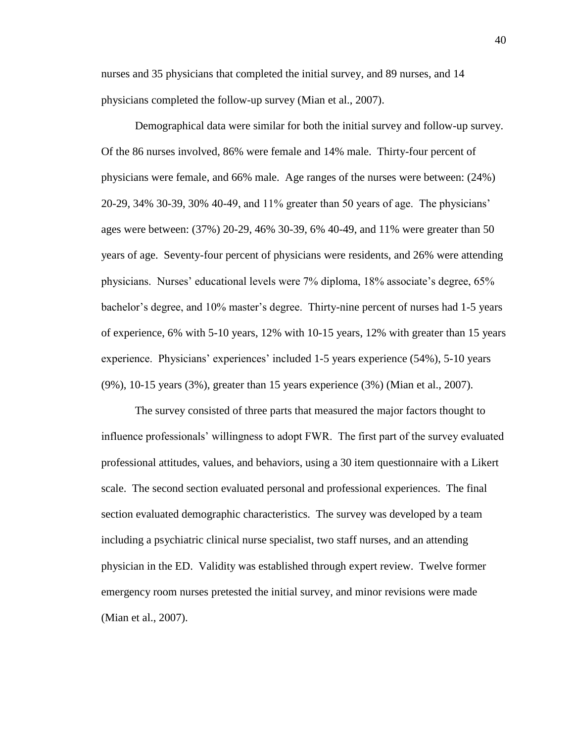nurses and 35 physicians that completed the initial survey, and 89 nurses, and 14 physicians completed the follow-up survey (Mian et al., 2007).

Demographical data were similar for both the initial survey and follow-up survey. Of the 86 nurses involved, 86% were female and 14% male. Thirty-four percent of physicians were female, and 66% male. Age ranges of the nurses were between: (24%) 20-29, 34% 30-39, 30% 40-49, and 11% greater than 50 years of age. The physicians' ages were between: (37%) 20-29, 46% 30-39, 6% 40-49, and 11% were greater than 50 years of age. Seventy-four percent of physicians were residents, and 26% were attending physicians. Nurses' educational levels were 7% diploma, 18% associate's degree, 65% bachelor's degree, and 10% master's degree. Thirty-nine percent of nurses had 1-5 years of experience, 6% with 5-10 years, 12% with 10-15 years, 12% with greater than 15 years experience. Physicians' experiences' included 1-5 years experience (54%), 5-10 years (9%), 10-15 years (3%), greater than 15 years experience (3%) (Mian et al., 2007).

The survey consisted of three parts that measured the major factors thought to influence professionals' willingness to adopt FWR. The first part of the survey evaluated professional attitudes, values, and behaviors, using a 30 item questionnaire with a Likert scale. The second section evaluated personal and professional experiences. The final section evaluated demographic characteristics. The survey was developed by a team including a psychiatric clinical nurse specialist, two staff nurses, and an attending physician in the ED. Validity was established through expert review. Twelve former emergency room nurses pretested the initial survey, and minor revisions were made (Mian et al., 2007).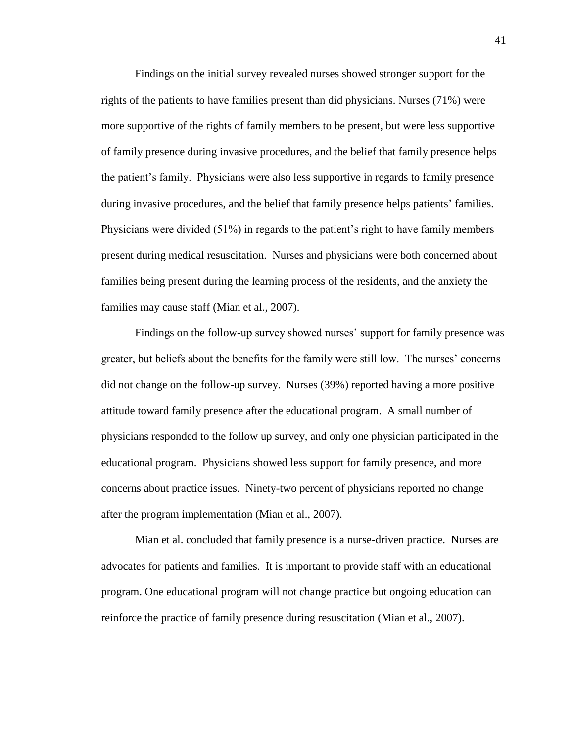Findings on the initial survey revealed nurses showed stronger support for the rights of the patients to have families present than did physicians. Nurses (71%) were more supportive of the rights of family members to be present, but were less supportive of family presence during invasive procedures, and the belief that family presence helps the patient's family. Physicians were also less supportive in regards to family presence during invasive procedures, and the belief that family presence helps patients' families. Physicians were divided (51%) in regards to the patient's right to have family members present during medical resuscitation. Nurses and physicians were both concerned about families being present during the learning process of the residents, and the anxiety the families may cause staff (Mian et al., 2007).

Findings on the follow-up survey showed nurses' support for family presence was greater, but beliefs about the benefits for the family were still low. The nurses' concerns did not change on the follow-up survey. Nurses (39%) reported having a more positive attitude toward family presence after the educational program. A small number of physicians responded to the follow up survey, and only one physician participated in the educational program. Physicians showed less support for family presence, and more concerns about practice issues. Ninety-two percent of physicians reported no change after the program implementation (Mian et al., 2007).

Mian et al. concluded that family presence is a nurse-driven practice. Nurses are advocates for patients and families. It is important to provide staff with an educational program. One educational program will not change practice but ongoing education can reinforce the practice of family presence during resuscitation (Mian et al., 2007).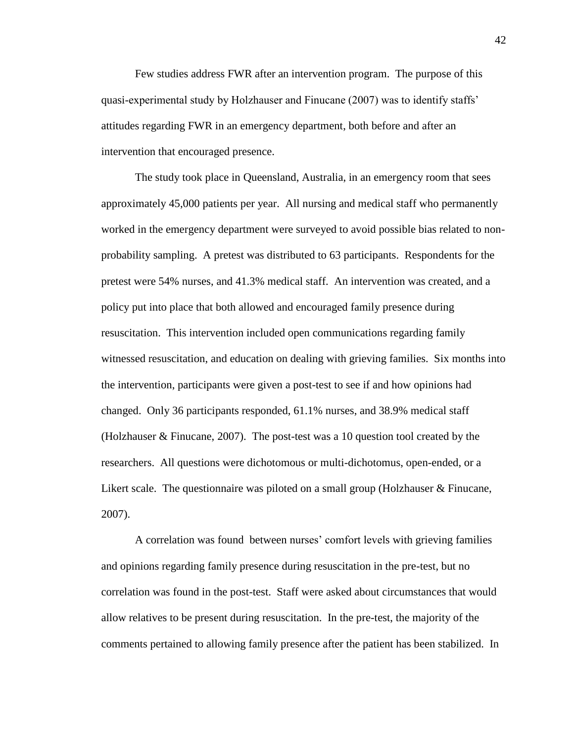Few studies address FWR after an intervention program. The purpose of this quasi-experimental study by Holzhauser and Finucane (2007) was to identify staffs' attitudes regarding FWR in an emergency department, both before and after an intervention that encouraged presence.

The study took place in Queensland, Australia, in an emergency room that sees approximately 45,000 patients per year. All nursing and medical staff who permanently worked in the emergency department were surveyed to avoid possible bias related to nonprobability sampling. A pretest was distributed to 63 participants. Respondents for the pretest were 54% nurses, and 41.3% medical staff. An intervention was created, and a policy put into place that both allowed and encouraged family presence during resuscitation. This intervention included open communications regarding family witnessed resuscitation, and education on dealing with grieving families. Six months into the intervention, participants were given a post-test to see if and how opinions had changed. Only 36 participants responded, 61.1% nurses, and 38.9% medical staff (Holzhauser & Finucane, 2007). The post-test was a 10 question tool created by the researchers. All questions were dichotomous or multi-dichotomus, open-ended, or a Likert scale. The questionnaire was piloted on a small group (Holzhauser & Finucane, 2007).

A correlation was found between nurses' comfort levels with grieving families and opinions regarding family presence during resuscitation in the pre-test, but no correlation was found in the post-test. Staff were asked about circumstances that would allow relatives to be present during resuscitation. In the pre-test, the majority of the comments pertained to allowing family presence after the patient has been stabilized. In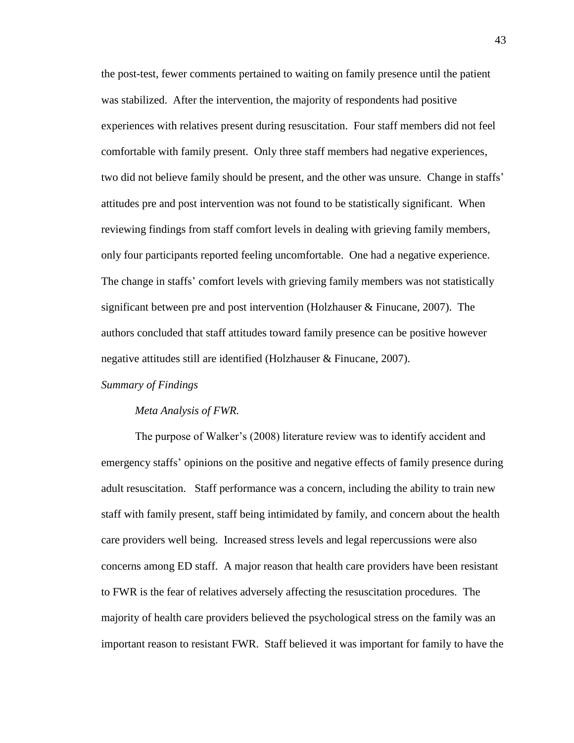the post-test, fewer comments pertained to waiting on family presence until the patient was stabilized. After the intervention, the majority of respondents had positive experiences with relatives present during resuscitation. Four staff members did not feel comfortable with family present. Only three staff members had negative experiences, two did not believe family should be present, and the other was unsure. Change in staffs' attitudes pre and post intervention was not found to be statistically significant. When reviewing findings from staff comfort levels in dealing with grieving family members, only four participants reported feeling uncomfortable. One had a negative experience. The change in staffs' comfort levels with grieving family members was not statistically significant between pre and post intervention (Holzhauser  $\&$  Finucane, 2007). The authors concluded that staff attitudes toward family presence can be positive however negative attitudes still are identified (Holzhauser & Finucane, 2007).

#### *Summary of Findings*

#### *Meta Analysis of FWR.*

The purpose of Walker's (2008) literature review was to identify accident and emergency staffs' opinions on the positive and negative effects of family presence during adult resuscitation. Staff performance was a concern, including the ability to train new staff with family present, staff being intimidated by family, and concern about the health care providers well being. Increased stress levels and legal repercussions were also concerns among ED staff. A major reason that health care providers have been resistant to FWR is the fear of relatives adversely affecting the resuscitation procedures. The majority of health care providers believed the psychological stress on the family was an important reason to resistant FWR. Staff believed it was important for family to have the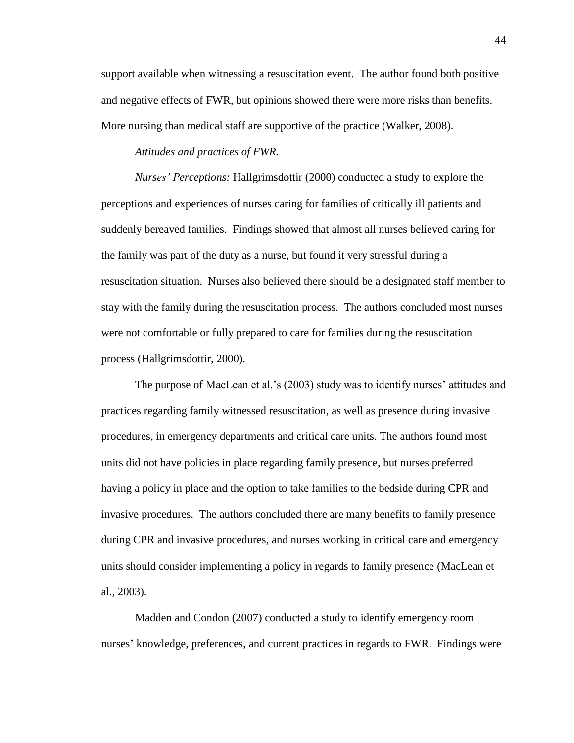support available when witnessing a resuscitation event. The author found both positive and negative effects of FWR, but opinions showed there were more risks than benefits. More nursing than medical staff are supportive of the practice (Walker, 2008).

# *Attitudes and practices of FWR.*

*Nurses' Perceptions:* Hallgrimsdottir (2000) conducted a study to explore the perceptions and experiences of nurses caring for families of critically ill patients and suddenly bereaved families. Findings showed that almost all nurses believed caring for the family was part of the duty as a nurse, but found it very stressful during a resuscitation situation. Nurses also believed there should be a designated staff member to stay with the family during the resuscitation process. The authors concluded most nurses were not comfortable or fully prepared to care for families during the resuscitation process (Hallgrimsdottir, 2000).

The purpose of MacLean et al.'s (2003) study was to identify nurses' attitudes and practices regarding family witnessed resuscitation, as well as presence during invasive procedures, in emergency departments and critical care units. The authors found most units did not have policies in place regarding family presence, but nurses preferred having a policy in place and the option to take families to the bedside during CPR and invasive procedures. The authors concluded there are many benefits to family presence during CPR and invasive procedures, and nurses working in critical care and emergency units should consider implementing a policy in regards to family presence (MacLean et al., 2003).

Madden and Condon (2007) conducted a study to identify emergency room nurses' knowledge, preferences, and current practices in regards to FWR. Findings were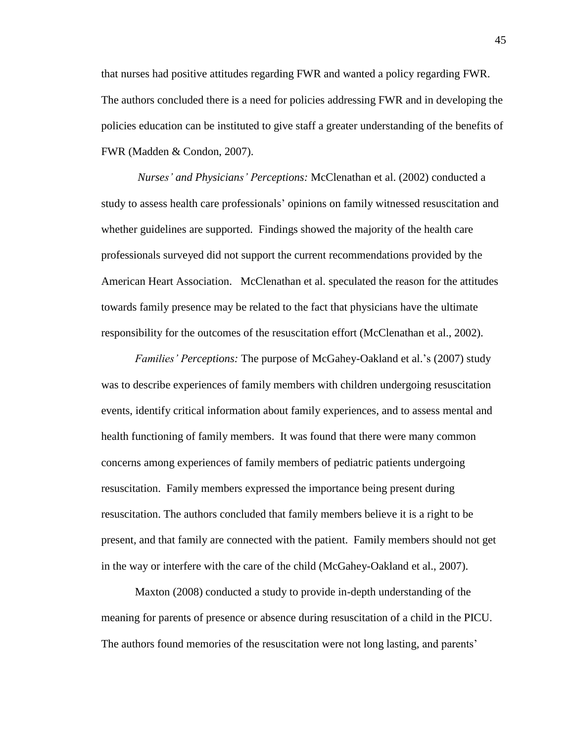that nurses had positive attitudes regarding FWR and wanted a policy regarding FWR. The authors concluded there is a need for policies addressing FWR and in developing the policies education can be instituted to give staff a greater understanding of the benefits of FWR (Madden & Condon, 2007).

*Nurses' and Physicians' Perceptions:* McClenathan et al. (2002) conducted a study to assess health care professionals' opinions on family witnessed resuscitation and whether guidelines are supported. Findings showed the majority of the health care professionals surveyed did not support the current recommendations provided by the American Heart Association. McClenathan et al. speculated the reason for the attitudes towards family presence may be related to the fact that physicians have the ultimate responsibility for the outcomes of the resuscitation effort (McClenathan et al., 2002).

*Families' Perceptions:* The purpose of McGahey-Oakland et al.'s (2007) study was to describe experiences of family members with children undergoing resuscitation events, identify critical information about family experiences, and to assess mental and health functioning of family members. It was found that there were many common concerns among experiences of family members of pediatric patients undergoing resuscitation. Family members expressed the importance being present during resuscitation. The authors concluded that family members believe it is a right to be present, and that family are connected with the patient. Family members should not get in the way or interfere with the care of the child (McGahey-Oakland et al., 2007).

Maxton (2008) conducted a study to provide in-depth understanding of the meaning for parents of presence or absence during resuscitation of a child in the PICU. The authors found memories of the resuscitation were not long lasting, and parents'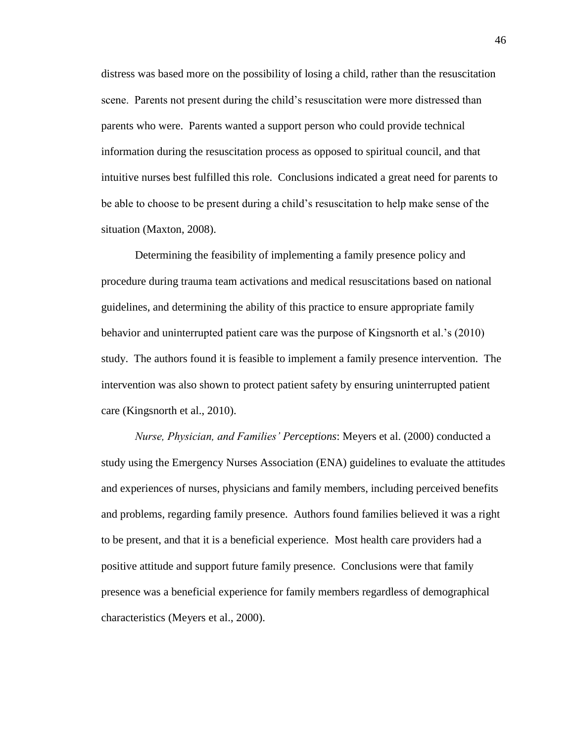distress was based more on the possibility of losing a child, rather than the resuscitation scene. Parents not present during the child's resuscitation were more distressed than parents who were. Parents wanted a support person who could provide technical information during the resuscitation process as opposed to spiritual council, and that intuitive nurses best fulfilled this role. Conclusions indicated a great need for parents to be able to choose to be present during a child's resuscitation to help make sense of the situation (Maxton, 2008).

Determining the feasibility of implementing a family presence policy and procedure during trauma team activations and medical resuscitations based on national guidelines, and determining the ability of this practice to ensure appropriate family behavior and uninterrupted patient care was the purpose of Kingsnorth et al.'s (2010) study. The authors found it is feasible to implement a family presence intervention. The intervention was also shown to protect patient safety by ensuring uninterrupted patient care (Kingsnorth et al., 2010).

*Nurse, Physician, and Families' Perceptions*: Meyers et al. (2000) conducted a study using the Emergency Nurses Association (ENA) guidelines to evaluate the attitudes and experiences of nurses, physicians and family members, including perceived benefits and problems, regarding family presence. Authors found families believed it was a right to be present, and that it is a beneficial experience. Most health care providers had a positive attitude and support future family presence. Conclusions were that family presence was a beneficial experience for family members regardless of demographical characteristics (Meyers et al., 2000).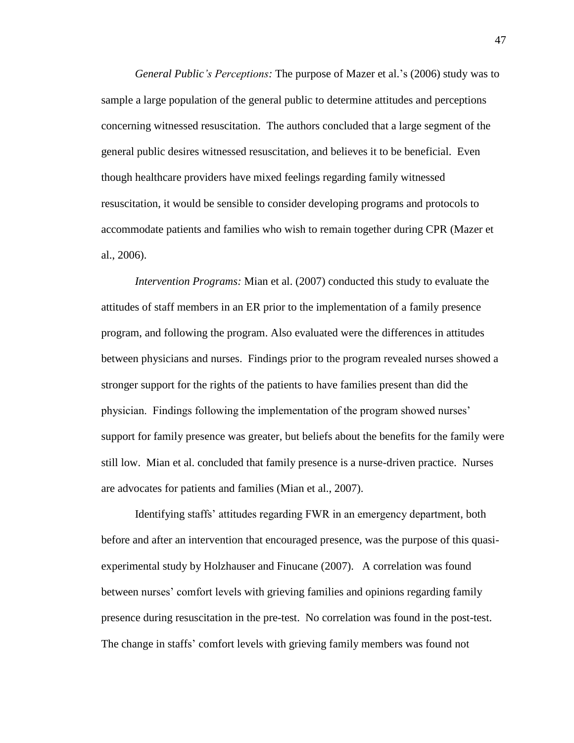*General Public's Perceptions:* The purpose of Mazer et al.'s (2006) study was to sample a large population of the general public to determine attitudes and perceptions concerning witnessed resuscitation. The authors concluded that a large segment of the general public desires witnessed resuscitation, and believes it to be beneficial. Even though healthcare providers have mixed feelings regarding family witnessed resuscitation, it would be sensible to consider developing programs and protocols to accommodate patients and families who wish to remain together during CPR (Mazer et al., 2006).

*Intervention Programs:* Mian et al. (2007) conducted this study to evaluate the attitudes of staff members in an ER prior to the implementation of a family presence program, and following the program. Also evaluated were the differences in attitudes between physicians and nurses. Findings prior to the program revealed nurses showed a stronger support for the rights of the patients to have families present than did the physician. Findings following the implementation of the program showed nurses' support for family presence was greater, but beliefs about the benefits for the family were still low. Mian et al. concluded that family presence is a nurse-driven practice. Nurses are advocates for patients and families (Mian et al., 2007).

Identifying staffs' attitudes regarding FWR in an emergency department, both before and after an intervention that encouraged presence, was the purpose of this quasiexperimental study by Holzhauser and Finucane (2007). A correlation was found between nurses' comfort levels with grieving families and opinions regarding family presence during resuscitation in the pre-test. No correlation was found in the post-test. The change in staffs' comfort levels with grieving family members was found not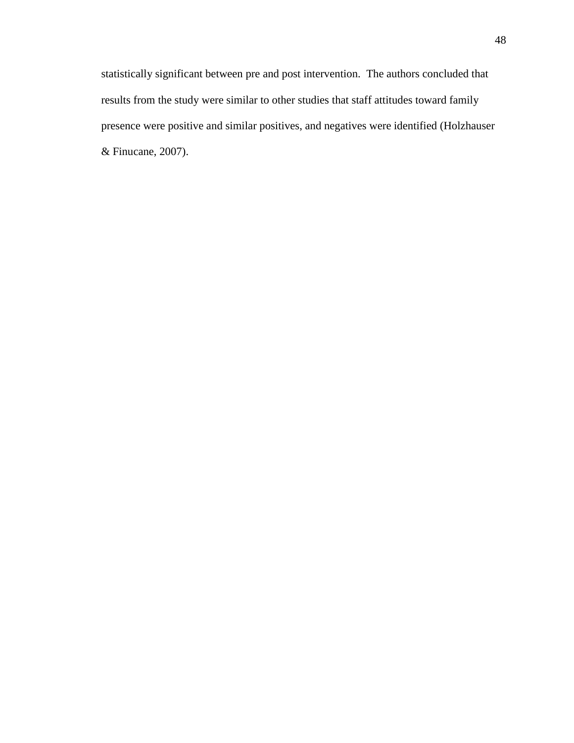statistically significant between pre and post intervention. The authors concluded that results from the study were similar to other studies that staff attitudes toward family presence were positive and similar positives, and negatives were identified (Holzhauser & Finucane, 2007).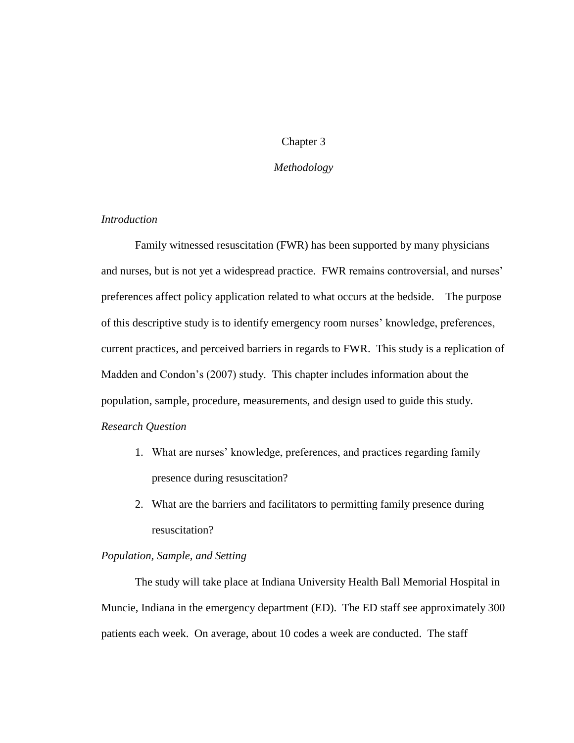# Chapter 3

# *Methodology*

# *Introduction*

Family witnessed resuscitation (FWR) has been supported by many physicians and nurses, but is not yet a widespread practice. FWR remains controversial, and nurses' preferences affect policy application related to what occurs at the bedside. The purpose of this descriptive study is to identify emergency room nurses' knowledge, preferences, current practices, and perceived barriers in regards to FWR. This study is a replication of Madden and Condon's (2007) study. This chapter includes information about the population, sample, procedure, measurements, and design used to guide this study. *Research Question*

- 1. What are nurses' knowledge, preferences, and practices regarding family presence during resuscitation?
- 2. What are the barriers and facilitators to permitting family presence during resuscitation?

# *Population, Sample, and Setting*

The study will take place at Indiana University Health Ball Memorial Hospital in Muncie, Indiana in the emergency department (ED). The ED staff see approximately 300 patients each week. On average, about 10 codes a week are conducted. The staff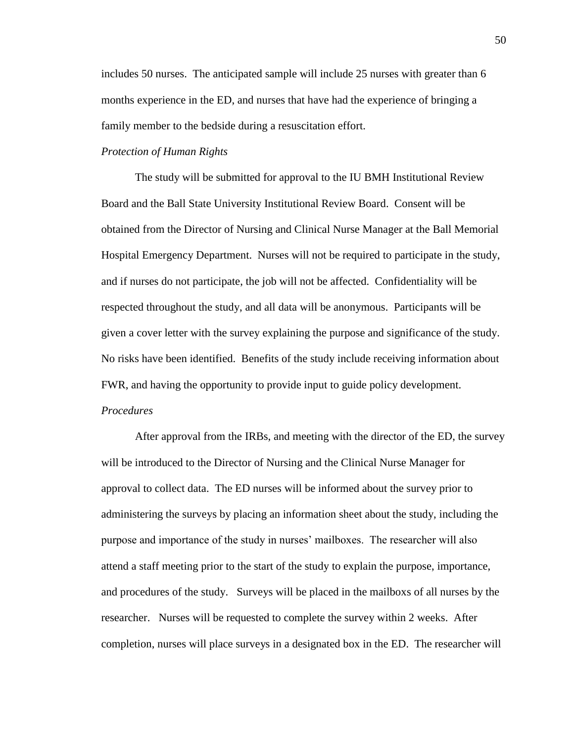includes 50 nurses. The anticipated sample will include 25 nurses with greater than 6 months experience in the ED, and nurses that have had the experience of bringing a family member to the bedside during a resuscitation effort.

# *Protection of Human Rights*

The study will be submitted for approval to the IU BMH Institutional Review Board and the Ball State University Institutional Review Board. Consent will be obtained from the Director of Nursing and Clinical Nurse Manager at the Ball Memorial Hospital Emergency Department. Nurses will not be required to participate in the study, and if nurses do not participate, the job will not be affected. Confidentiality will be respected throughout the study, and all data will be anonymous. Participants will be given a cover letter with the survey explaining the purpose and significance of the study. No risks have been identified. Benefits of the study include receiving information about FWR, and having the opportunity to provide input to guide policy development. *Procedures*

After approval from the IRBs, and meeting with the director of the ED, the survey will be introduced to the Director of Nursing and the Clinical Nurse Manager for approval to collect data. The ED nurses will be informed about the survey prior to administering the surveys by placing an information sheet about the study, including the purpose and importance of the study in nurses' mailboxes. The researcher will also attend a staff meeting prior to the start of the study to explain the purpose, importance, and procedures of the study. Surveys will be placed in the mailboxs of all nurses by the researcher. Nurses will be requested to complete the survey within 2 weeks. After completion, nurses will place surveys in a designated box in the ED. The researcher will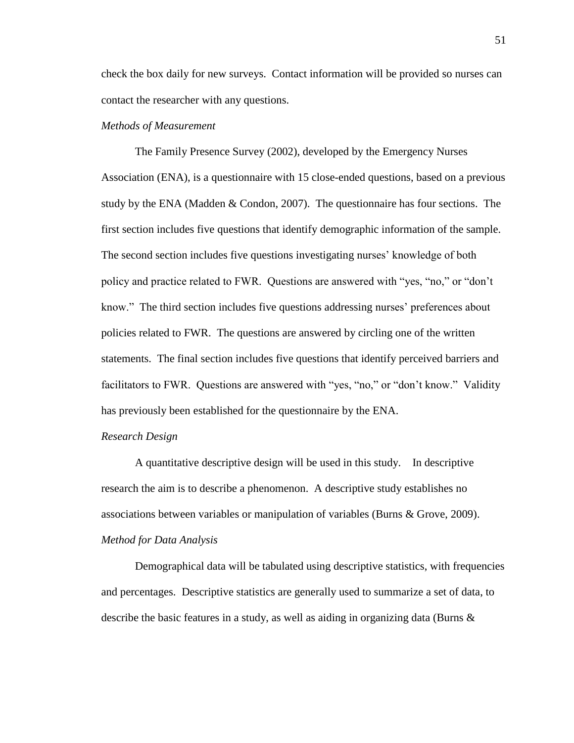check the box daily for new surveys. Contact information will be provided so nurses can contact the researcher with any questions.

# *Methods of Measurement*

The Family Presence Survey (2002), developed by the Emergency Nurses Association (ENA), is a questionnaire with 15 close-ended questions, based on a previous study by the ENA (Madden  $&$  Condon, 2007). The questionnaire has four sections. The first section includes five questions that identify demographic information of the sample. The second section includes five questions investigating nurses' knowledge of both policy and practice related to FWR. Questions are answered with "yes, "no," or "don't know." The third section includes five questions addressing nurses' preferences about policies related to FWR. The questions are answered by circling one of the written statements. The final section includes five questions that identify perceived barriers and facilitators to FWR. Questions are answered with "yes, "no," or "don't know." Validity has previously been established for the questionnaire by the ENA.

### *Research Design*

A quantitative descriptive design will be used in this study. In descriptive research the aim is to describe a phenomenon. A descriptive study establishes no associations between variables or manipulation of variables (Burns & Grove, 2009). *Method for Data Analysis*

Demographical data will be tabulated using descriptive statistics, with frequencies and percentages. Descriptive statistics are generally used to summarize a set of data, to describe the basic features in a study, as well as aiding in organizing data (Burns  $\&$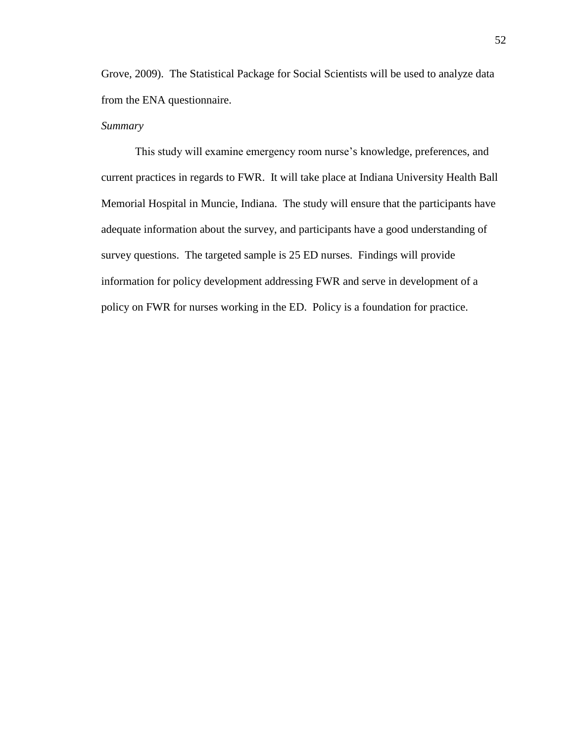Grove, 2009). The Statistical Package for Social Scientists will be used to analyze data from the ENA questionnaire.

# *Summary*

This study will examine emergency room nurse's knowledge, preferences, and current practices in regards to FWR. It will take place at Indiana University Health Ball Memorial Hospital in Muncie, Indiana. The study will ensure that the participants have adequate information about the survey, and participants have a good understanding of survey questions. The targeted sample is 25 ED nurses. Findings will provide information for policy development addressing FWR and serve in development of a policy on FWR for nurses working in the ED. Policy is a foundation for practice.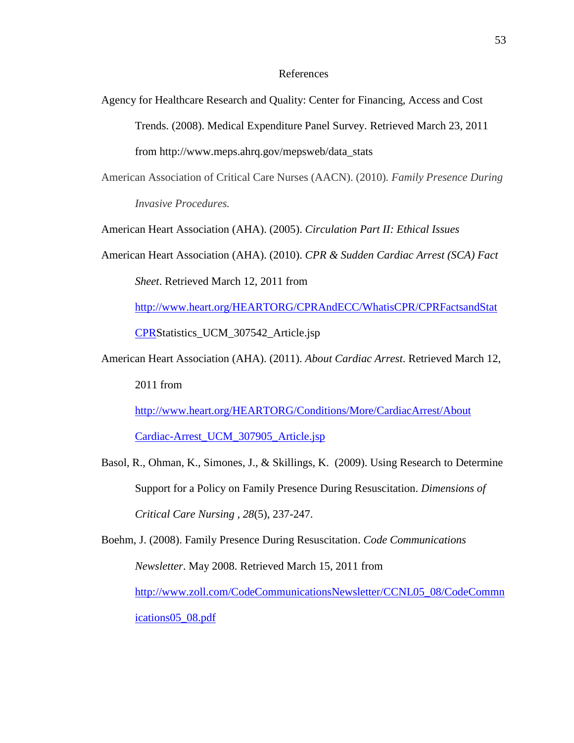#### References

Agency for Healthcare Research and Quality: Center for Financing, Access and Cost Trends. (2008). Medical Expenditure Panel Survey. Retrieved March 23, 2011 from http://www.meps.ahrq.gov/mepsweb/data\_stats

American Association of Critical Care Nurses (AACN). (2010)*. Family Presence During* 

*Invasive Procedures.*

American Heart Association (AHA). (2005). *Circulation Part II: Ethical Issues*

American Heart Association (AHA). (2010). *CPR & Sudden Cardiac Arrest (SCA) Fact Sheet*. Retrieved March 12, 2011 from

[http://www.heart.org/HEARTORG/CPRAndECC/WhatisCPR/CPRFactsandStat](http://www.heart.org/HEARTORG/CPRAndECC/WhatisCPR/CPRFactsandStat%20CPR)  [CPRS](http://www.heart.org/HEARTORG/CPRAndECC/WhatisCPR/CPRFactsandStat%20CPR)tatistics\_UCM\_307542\_Article.jsp

American Heart Association (AHA). (2011). *About Cardiac Arrest*. Retrieved March 12, 2011 from

[http://www.heart.org/HEARTORG/Conditions/More/CardiacArrest/About](http://www.heart.org/HEARTORG/Conditions/More/CardiacArrest/About%20Cardiac-Arrest_UCM_307905_Article.jsp)  [Cardiac-Arrest\\_UCM\\_307905\\_Article.jsp](http://www.heart.org/HEARTORG/Conditions/More/CardiacArrest/About%20Cardiac-Arrest_UCM_307905_Article.jsp)

Basol, R., Ohman, K., Simones, J., & Skillings, K. (2009). Using Research to Determine Support for a Policy on Family Presence During Resuscitation. *Dimensions of Critical Care Nursing , 28*(5), 237-247.

Boehm, J. (2008). Family Presence During Resuscitation. *Code Communications Newsletter*. May 2008. Retrieved March 15, 2011 from [http://www.zoll.com/CodeCommunicationsNewsletter/CCNL05\\_08/CodeCommn](http://www.zoll.com/CodeCommunicationsNewsletter/CCNL05_08/CodeCommnications05_08.pdf) [ications05\\_08.pdf](http://www.zoll.com/CodeCommunicationsNewsletter/CCNL05_08/CodeCommnications05_08.pdf)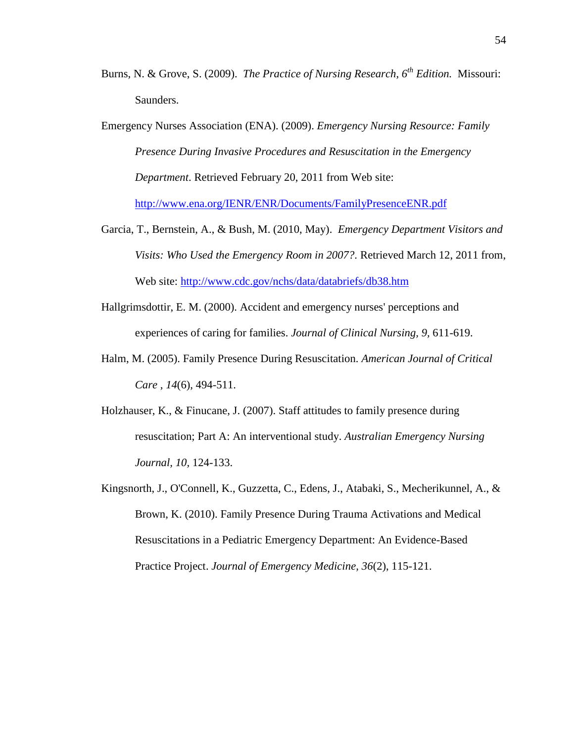- Burns, N. & Grove, S. (2009). *The Practice of Nursing Research, 6th Edition.* Missouri: Saunders.
- Emergency Nurses Association (ENA). (2009). *Emergency Nursing Resource: Family Presence During Invasive Procedures and Resuscitation in the Emergency Department*. Retrieved February 20, 2011 from Web site: <http://www.ena.org/IENR/ENR/Documents/FamilyPresenceENR.pdf>
- Garcia, T., Bernstein, A., & Bush, M. (2010, May). *Emergency Department Visitors and Visits: Who Used the Emergency Room in 2007?*. Retrieved March 12, 2011 from, Web site:<http://www.cdc.gov/nchs/data/databriefs/db38.htm>
- Hallgrimsdottir, E. M. (2000). Accident and emergency nurses' perceptions and experiences of caring for families. *Journal of Clinical Nursing, 9,* 611-619.
- Halm, M. (2005). Family Presence During Resuscitation. *American Journal of Critical Care , 14*(6), 494-511.
- Holzhauser, K., & Finucane, J. (2007). Staff attitudes to family presence during resuscitation; Part A: An interventional study. *Australian Emergency Nursing Journal, 10,* 124-133.
- Kingsnorth, J., O'Connell, K., Guzzetta, C., Edens, J., Atabaki, S., Mecherikunnel, A., & Brown, K. (2010). Family Presence During Trauma Activations and Medical Resuscitations in a Pediatric Emergency Department: An Evidence-Based Practice Project. *Journal of Emergency Medicine, 36*(2), 115-121.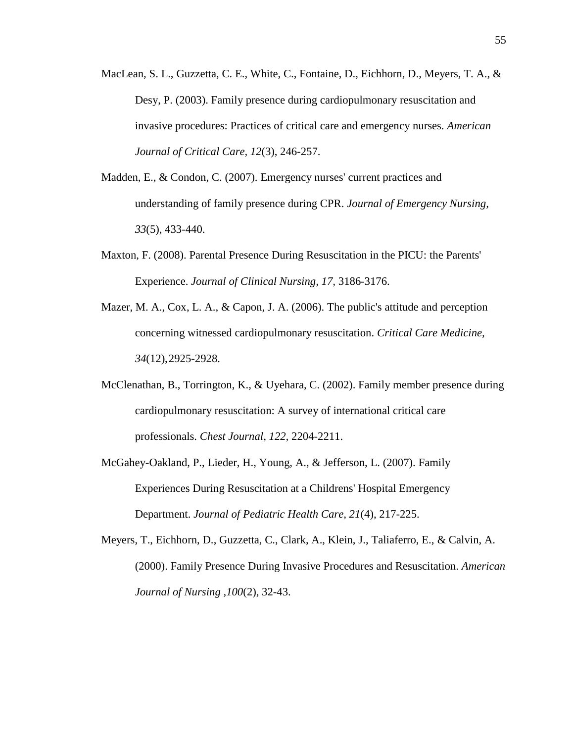- MacLean, S. L., Guzzetta, C. E., White, C., Fontaine, D., Eichhorn, D., Meyers, T. A., & Desy, P. (2003). Family presence during cardiopulmonary resuscitation and invasive procedures: Practices of critical care and emergency nurses. *American Journal of Critical Care, 12*(3), 246-257.
- Madden, E., & Condon, C. (2007). Emergency nurses' current practices and understanding of family presence during CPR. *Journal of Emergency Nursing, 33*(5), 433-440.
- Maxton, F. (2008). Parental Presence During Resuscitation in the PICU: the Parents' Experience. *Journal of Clinical Nursing, 17,* 3186-3176.
- Mazer, M. A., Cox, L. A., & Capon, J. A. (2006). The public's attitude and perception concerning witnessed cardiopulmonary resuscitation. *Critical Care Medicine, 34*(12),2925-2928.
- McClenathan, B., Torrington, K., & Uyehara, C. (2002). Family member presence during cardiopulmonary resuscitation: A survey of international critical care professionals. *Chest Journal, 122,* 2204-2211.
- McGahey-Oakland, P., Lieder, H., Young, A., & Jefferson, L. (2007). Family Experiences During Resuscitation at a Childrens' Hospital Emergency Department. *Journal of Pediatric Health Care, 21*(4), 217-225.
- Meyers, T., Eichhorn, D., Guzzetta, C., Clark, A., Klein, J., Taliaferro, E., & Calvin, A. (2000). Family Presence During Invasive Procedures and Resuscitation. *American Journal of Nursing ,100*(2), 32-43.